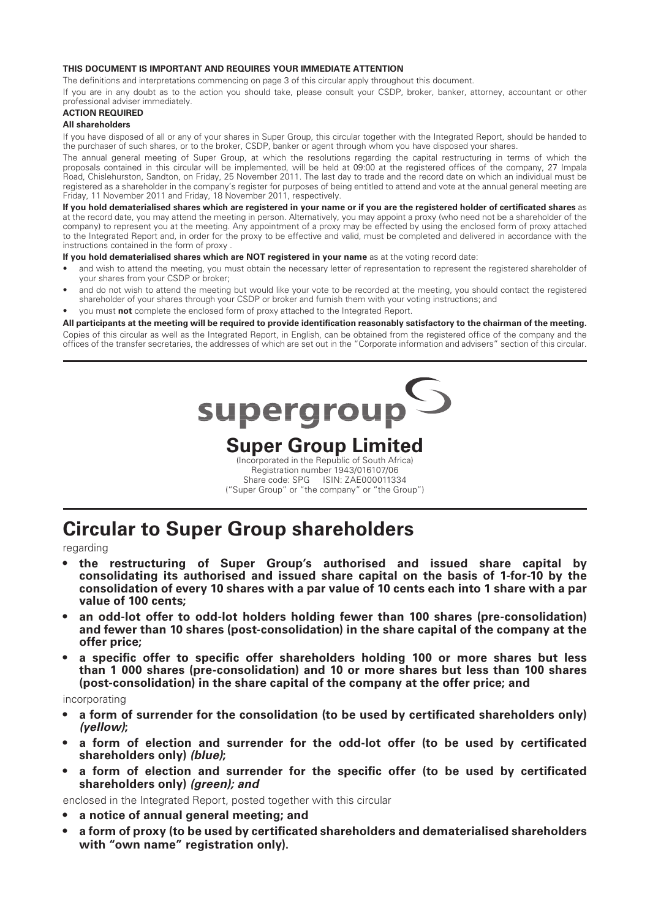#### **THIS DOCUMENT IS IMPORTANT AND REQUIRES YOUR IMMEDIATE ATTENTION**

The definitions and interpretations commencing on page 3 of this circular apply throughout this document.

If you are in any doubt as to the action you should take, please consult your CSDP, broker, banker, attorney, accountant or other professional adviser immediately.

#### **ACTION REQUIRED**

#### **All shareholders**

If you have disposed of all or any of your shares in Super Group, this circular together with the Integrated Report, should be handed to the purchaser of such shares, or to the broker, CSDP, banker or agent through whom you have disposed your shares.

The annual general meeting of Super Group, at which the resolutions regarding the capital restructuring in terms of which the proposals contained in this circular will be implemented, will be held at 09:00 at the registered offices of the company, 27 Impala Road, Chislehurston, Sandton, on Friday, 25 November 2011. The last day to trade and the record date on which an individual must be registered as a shareholder in the company's register for purposes of being entitled to attend and vote at the annual general meeting are Friday, 11 November 2011 and Friday, 18 November 2011, respectively.

If you hold dematerialised shares which are registered in your name or if you are the registered holder of certificated shares as at the record date, you may attend the meeting in person. Alternatively, you may appoint a proxy (who need not be a shareholder of the company) to represent you at the meeting. Any appointment of a proxy may be effected by using the enclosed form of proxy attached to the Integrated Report and, in order for the proxy to be effective and valid, must be completed and delivered in accordance with the instructions contained in the form of proxy .

**If you hold dematerialised shares which are NOT registered in your name** as at the voting record date:

- and wish to attend the meeting, you must obtain the necessary letter of representation to represent the registered shareholder of your shares from your CSDP or broker;
- and do not wish to attend the meeting but would like your vote to be recorded at the meeting, you should contact the registered shareholder of your shares through your CSDP or broker and furnish them with your voting instructions; and
- you must **not** complete the enclosed form of proxy attached to the Integrated Report.

#### **All participants at the meeting will be required to provide identifi cation reasonably satisfactory to the chairman of the meeting.**

Copies of this circular as well as the Integrated Report, in English, can be obtained from the registered office of the company and the offices of the transfer secretaries, the addresses of which are set out in the "Corporate information and advisers" section of this circular.

supergroup

## **Super Group Limited**

(Incorporated in the Republic of South Africa) Registration number 1943/016107/06 Share code: SPG ISIN: ZAE000011334 ("Super Group" or "the company" or "the Group")

# **Circular to Super Group shareholders**

regarding

- **the restructuring of Super Group's authorised and issued share capital by consolidating its authorised and issued share capital on the basis of 1 -for -10 by the consolidation of every 10 shares with a par value of 10 cents each into 1 share with a par value of 100 cents ;**
- **an odd-lot offer to odd-lot holders holding fewer than 100 shares (pre-consolidation) and fewer than 10 shares (post-consolidation) in the share capital of the company at the offer price;**
- a specific offer to specific offer shareholders holding 100 or more shares but less **than 1 000 shares (pre-consolidation) and 10 or more shares but less than 100 shares (post-consolidation) in the share capital of the company at the offer price; and**

#### incorporating

- a form of surrender for the consolidation (to be used by certificated shareholders only) *(yellow)***;**
- a form of election and surrender for the odd-lot offer (to be used by certificated **shareholders only)** *(blue)***;**
- a form of election and surrender for the specific offer (to be used by certificated **shareholders only)** *(green); and*

enclosed in the Integrated Report, posted together with this circular

- **a notice of annual general meeting; and**
- a form of proxy (to be used by certificated shareholders and dematerialised shareholders **with "own name" registration only).**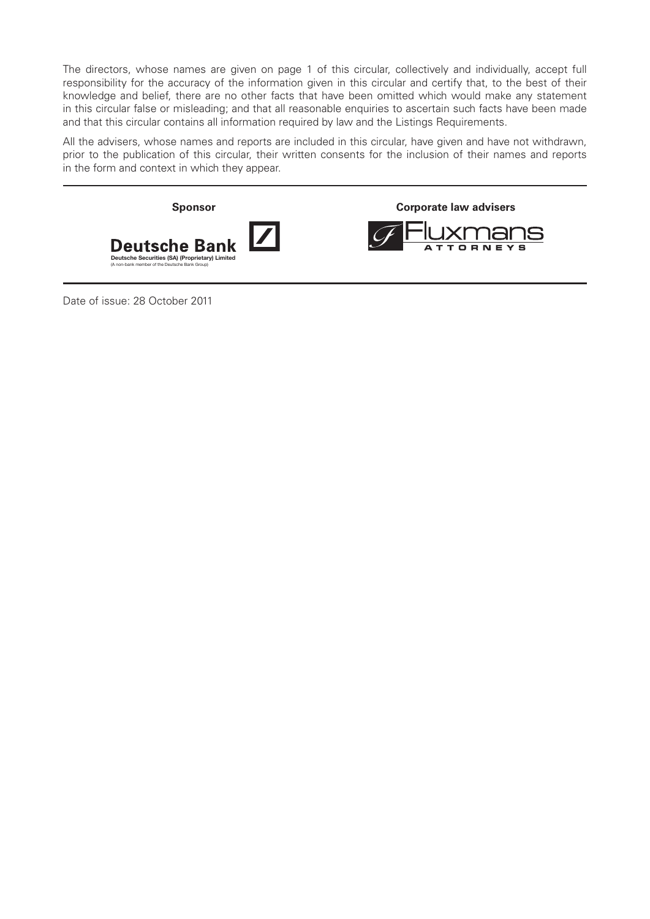The directors, whose names are given on page 1 of this circular, collectively and individually, accept full responsibility for the accuracy of the information given in this circular and certify that, to the best of their knowledge and belief, there are no other facts that have been omitted which would make any statement in this circular false or misleading; and that all reasonable enquiries to ascertain such facts have been made and that this circular contains all information required by law and the Listings Requirements.

All the advisers, whose names and reports are included in this circular, have given and have not withdrawn, prior to the publication of this circular, their written consents for the inclusion of their names and reports in the form and context in which they appear.



Date of issue: 28 October 2011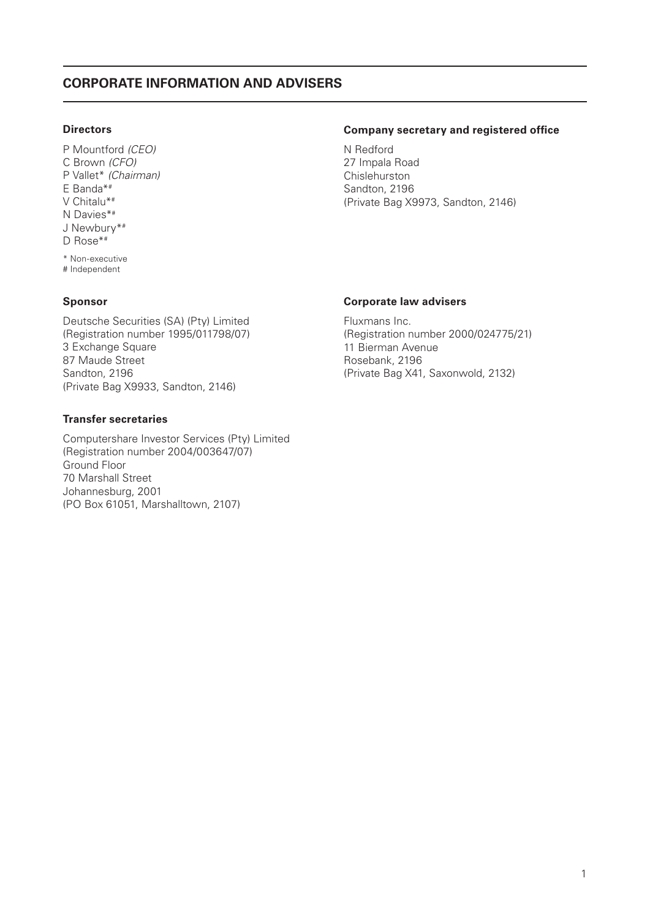## **CORPORATE INFORMATION AND ADVISERS**

### **Directors**

P Mountford (CEO) C Brown (CFO) P Vallet\* (Chairman) E Banda\*# V Chitalu\*# N Davies\*# J Newbury\*# D Rose\*# \* Non-executive # Independent

### **Sponsor**

Deutsche Securities (SA) (Pty) Limited (Registration number 1995/011798/07) 3 Exchange Square 87 Maude Street Sandton, 2196 (Private Bag X9933, Sandton, 2146)

### **Transfer secretaries**

Computershare Investor Services (Pty) Limited (Registration number 2004/003647/07) Ground Floor 70 Marshall Street Johannesburg, 2001 (PO Box 61051, Marshalltown, 2107)

#### **Company secretary and registered office**

N Redford 27 Impala Road Chislehurston Sandton, 2196 (Private Bag X9973, Sandton, 2146)

#### **Corporate law advisers**

Fluxmans Inc. (Registration number 2000/024775/21) 11 Bierman Avenue Rosebank, 2196 (Private Bag X41, Saxonwold, 2132)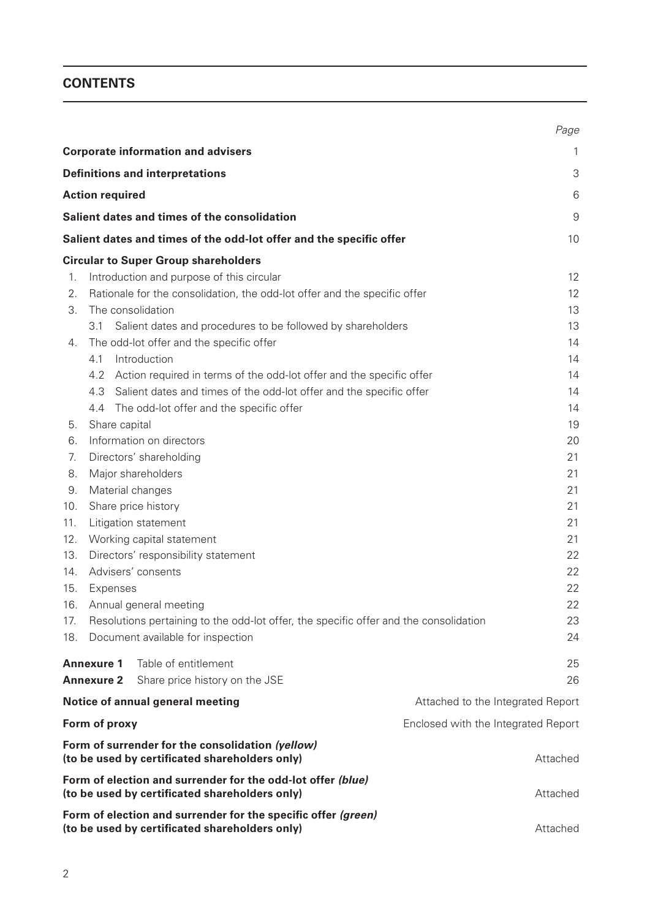## **CONTENTS**

|     |                                                                                                                 | Page                |
|-----|-----------------------------------------------------------------------------------------------------------------|---------------------|
|     | <b>Corporate information and advisers</b>                                                                       | 1                   |
|     | <b>Definitions and interpretations</b>                                                                          | 3                   |
|     | <b>Action required</b>                                                                                          | 6                   |
|     | Salient dates and times of the consolidation                                                                    | $\mathcal{G}% _{0}$ |
|     |                                                                                                                 |                     |
|     | Salient dates and times of the odd-lot offer and the specific offer                                             | 10                  |
|     | <b>Circular to Super Group shareholders</b>                                                                     |                     |
| 1.  | Introduction and purpose of this circular                                                                       | 12                  |
| 2.  | Rationale for the consolidation, the odd-lot offer and the specific offer                                       | 12                  |
| 3.  | The consolidation<br>3.1                                                                                        | 13<br>13            |
| 4.  | Salient dates and procedures to be followed by shareholders<br>The odd-lot offer and the specific offer         | 14                  |
|     | Introduction<br>4.1                                                                                             | 14                  |
|     | 4.2 Action required in terms of the odd-lot offer and the specific offer                                        | 14                  |
|     | Salient dates and times of the odd-lot offer and the specific offer<br>4.3                                      | 14                  |
|     | The odd-lot offer and the specific offer<br>4.4                                                                 | 14                  |
| 5.  | Share capital                                                                                                   | 19                  |
| 6.  | Information on directors                                                                                        | 20                  |
| 7.  | Directors' shareholding                                                                                         | 21                  |
| 8.  | Major shareholders                                                                                              | 21                  |
| 9.  | Material changes                                                                                                | 21                  |
| 10. | Share price history                                                                                             | 21                  |
| 11. | Litigation statement                                                                                            | 21                  |
| 12. | Working capital statement                                                                                       | 21                  |
| 13. | Directors' responsibility statement                                                                             | 22                  |
| 14. | Advisers' consents                                                                                              | 22                  |
| 15. | Expenses                                                                                                        | 22                  |
| 16. | Annual general meeting                                                                                          | 22                  |
| 17. | Resolutions pertaining to the odd-lot offer, the specific offer and the consolidation                           | 23                  |
| 18. | Document available for inspection                                                                               | 24                  |
|     | Table of entitlement<br><b>Annexure 1</b>                                                                       | 25                  |
|     | Share price history on the JSE<br><b>Annexure 2</b>                                                             | 26                  |
|     | Notice of annual general meeting<br>Attached to the Integrated Report                                           |                     |
|     | Form of proxy<br>Enclosed with the Integrated Report                                                            |                     |
|     | Form of surrender for the consolidation (yellow)<br>(to be used by certificated shareholders only)              | Attached            |
|     | Form of election and surrender for the odd-lot offer (blue)<br>(to be used by certificated shareholders only)   | Attached            |
|     | Form of election and surrender for the specific offer (green)<br>(to be used by certificated shareholders only) | Attached            |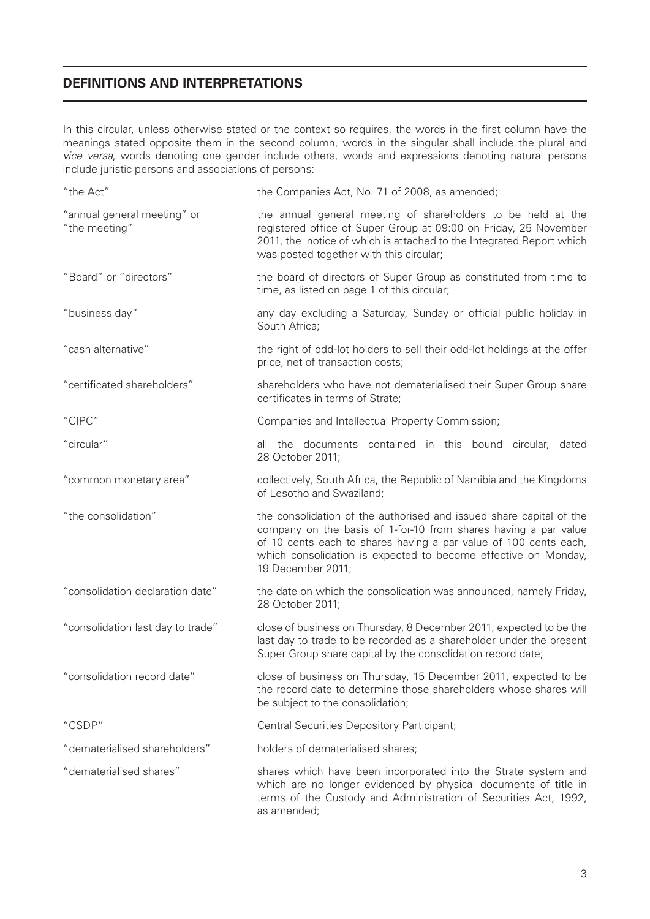## **DEFINITIONS AND INTERPRETATIONS**

In this circular, unless otherwise stated or the context so requires, the words in the first column have the meanings stated opposite them in the second column, words in the singular shall include the plural and vice versa, words denoting one gender include others, words and expressions denoting natural persons include juristic persons and associations of persons:

| "the Act"                                    | the Companies Act, No. 71 of 2008, as amended;                                                                                                                                                                                                                                                    |
|----------------------------------------------|---------------------------------------------------------------------------------------------------------------------------------------------------------------------------------------------------------------------------------------------------------------------------------------------------|
| "annual general meeting" or<br>"the meeting" | the annual general meeting of shareholders to be held at the<br>registered office of Super Group at 09:00 on Friday, 25 November<br>2011, the notice of which is attached to the Integrated Report which<br>was posted together with this circular;                                               |
| "Board" or "directors"                       | the board of directors of Super Group as constituted from time to<br>time, as listed on page 1 of this circular;                                                                                                                                                                                  |
| "business day"                               | any day excluding a Saturday, Sunday or official public holiday in<br>South Africa;                                                                                                                                                                                                               |
| "cash alternative"                           | the right of odd-lot holders to sell their odd-lot holdings at the offer<br>price, net of transaction costs;                                                                                                                                                                                      |
| "certificated shareholders"                  | shareholders who have not dematerialised their Super Group share<br>certificates in terms of Strate;                                                                                                                                                                                              |
| "CIPC"                                       | Companies and Intellectual Property Commission;                                                                                                                                                                                                                                                   |
| "circular"                                   | all the documents contained in this bound circular, dated<br>28 October 2011;                                                                                                                                                                                                                     |
| "common monetary area"                       | collectively, South Africa, the Republic of Namibia and the Kingdoms<br>of Lesotho and Swaziland;                                                                                                                                                                                                 |
| "the consolidation"                          | the consolidation of the authorised and issued share capital of the<br>company on the basis of 1-for-10 from shares having a par value<br>of 10 cents each to shares having a par value of 100 cents each,<br>which consolidation is expected to become effective on Monday,<br>19 December 2011; |
| "consolidation declaration date"             | the date on which the consolidation was announced, namely Friday,<br>28 October 2011;                                                                                                                                                                                                             |
| "consolidation last day to trade"            | close of business on Thursday, 8 December 2011, expected to be the<br>last day to trade to be recorded as a shareholder under the present<br>Super Group share capital by the consolidation record date;                                                                                          |
| "consolidation record date"                  | close of business on Thursday, 15 December 2011, expected to be<br>the record date to determine those shareholders whose shares will<br>be subject to the consolidation;                                                                                                                          |
| "CSDP"                                       | Central Securities Depository Participant;                                                                                                                                                                                                                                                        |
| "dematerialised shareholders"                | holders of dematerialised shares;                                                                                                                                                                                                                                                                 |
| "dematerialised shares"                      | shares which have been incorporated into the Strate system and<br>which are no longer evidenced by physical documents of title in<br>terms of the Custody and Administration of Securities Act, 1992,<br>as amended;                                                                              |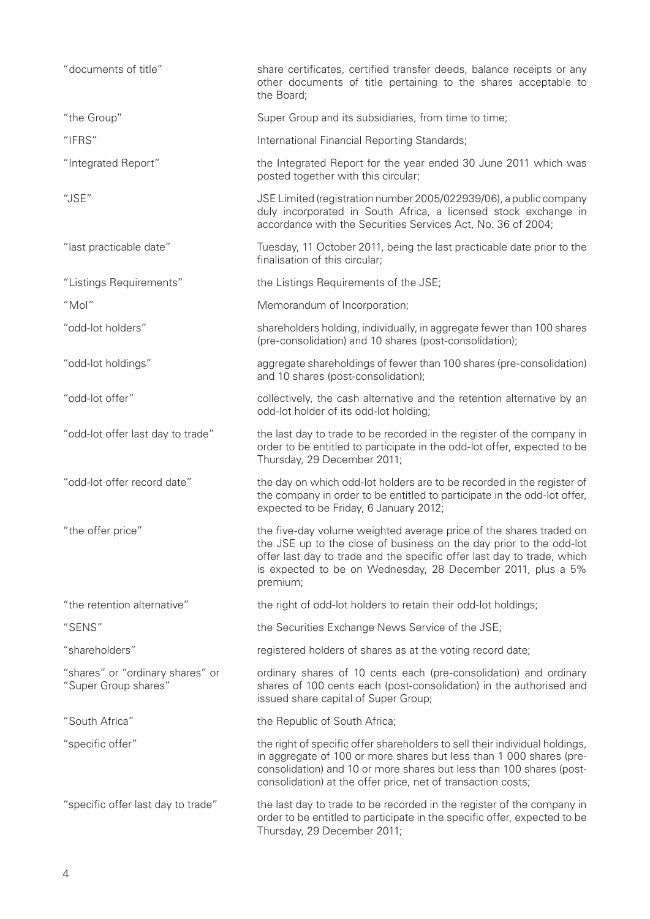| "documents of title"                                     | share certificates, certified transfer deeds, balance receipts or any<br>other documents of title pertaining to the shares acceptable to<br>the Board;                                                                                                                                          |
|----------------------------------------------------------|-------------------------------------------------------------------------------------------------------------------------------------------------------------------------------------------------------------------------------------------------------------------------------------------------|
| "the Group"                                              | Super Group and its subsidiaries, from time to time;                                                                                                                                                                                                                                            |
| "IFRS"                                                   | International Financial Reporting Standards;                                                                                                                                                                                                                                                    |
| "Integrated Report"                                      | the Integrated Report for the year ended 30 June 2011 which was<br>posted together with this circular;                                                                                                                                                                                          |
| "JSE"                                                    | JSE Limited (registration number 2005/022939/06), a public company<br>duly incorporated in South Africa, a licensed stock exchange in<br>accordance with the Securities Services Act, No. 36 of 2004;                                                                                           |
| "last practicable date"                                  | Tuesday, 11 October 2011, being the last practicable date prior to the<br>finalisation of this circular;                                                                                                                                                                                        |
| "Listings Requirements"                                  | the Listings Requirements of the JSE;                                                                                                                                                                                                                                                           |
| "Mol"                                                    | Memorandum of Incorporation;                                                                                                                                                                                                                                                                    |
| "odd-lot holders"                                        | shareholders holding, individually, in aggregate fewer than 100 shares<br>(pre-consolidation) and 10 shares (post-consolidation);                                                                                                                                                               |
| "odd-lot holdings"                                       | aggregate shareholdings of fewer than 100 shares (pre-consolidation)<br>and 10 shares (post-consolidation);                                                                                                                                                                                     |
| "odd-lot offer"                                          | collectively, the cash alternative and the retention alternative by an<br>odd-lot holder of its odd-lot holding;                                                                                                                                                                                |
| "odd-lot offer last day to trade"                        | the last day to trade to be recorded in the register of the company in<br>order to be entitled to participate in the odd-lot offer, expected to be<br>Thursday, 29 December 2011;                                                                                                               |
| "odd-lot offer record date"                              | the day on which odd-lot holders are to be recorded in the register of<br>the company in order to be entitled to participate in the odd-lot offer,<br>expected to be Friday, 6 January 2012;                                                                                                    |
| "the offer price"                                        | the five-day volume weighted average price of the shares traded on<br>the JSE up to the close of business on the day prior to the odd-lot<br>offer last day to trade and the specific offer last day to trade, which<br>is expected to be on Wednesday, 28 December 2011, plus a 5%<br>premium; |
| "the retention alternative"                              | the right of odd-lot holders to retain their odd-lot holdings;                                                                                                                                                                                                                                  |
| "SENS"                                                   | the Securities Exchange News Service of the JSE;                                                                                                                                                                                                                                                |
| "shareholders"                                           | registered holders of shares as at the voting record date;                                                                                                                                                                                                                                      |
| "shares" or "ordinary shares" or<br>"Super Group shares" | ordinary shares of 10 cents each (pre-consolidation) and ordinary<br>shares of 100 cents each (post-consolidation) in the authorised and<br>issued share capital of Super Group;                                                                                                                |
| "South Africa"                                           | the Republic of South Africa;                                                                                                                                                                                                                                                                   |
| "specific offer"                                         | the right of specific offer shareholders to sell their individual holdings,<br>in aggregate of 100 or more shares but less than 1 000 shares (pre-<br>consolidation) and 10 or more shares but less than 100 shares (post-<br>consolidation) at the offer price, net of transaction costs;      |
| "specific offer last day to trade"                       | the last day to trade to be recorded in the register of the company in<br>order to be entitled to participate in the specific offer, expected to be<br>Thursday, 29 December 2011;                                                                                                              |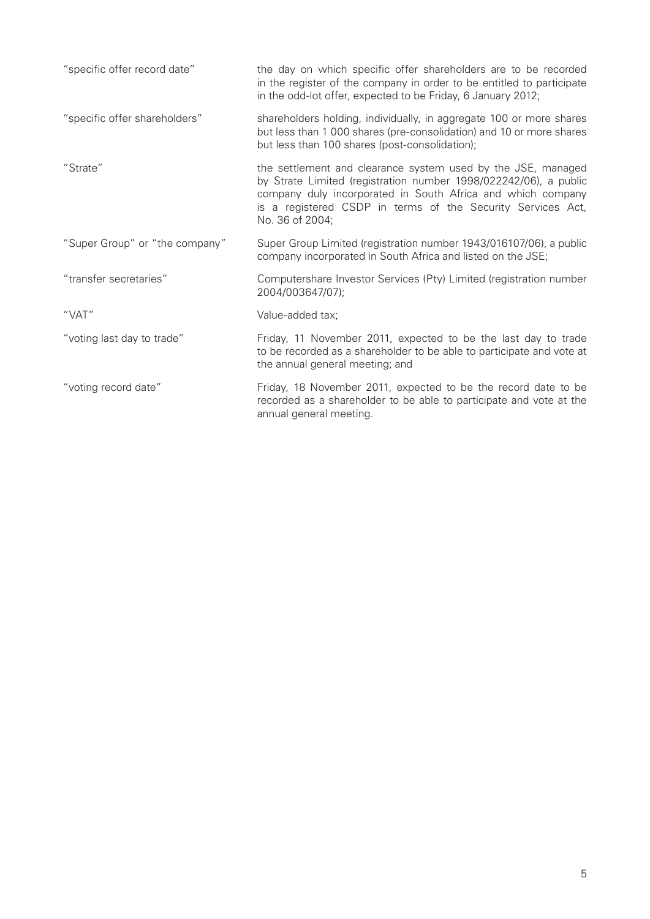| "specific offer record date"   | the day on which specific offer shareholders are to be recorded<br>in the register of the company in order to be entitled to participate<br>in the odd-lot offer, expected to be Friday, 6 January 2012;                                                                          |
|--------------------------------|-----------------------------------------------------------------------------------------------------------------------------------------------------------------------------------------------------------------------------------------------------------------------------------|
| "specific offer shareholders"  | shareholders holding, individually, in aggregate 100 or more shares<br>but less than 1 000 shares (pre-consolidation) and 10 or more shares<br>but less than 100 shares (post-consolidation);                                                                                     |
| "Strate"                       | the settlement and clearance system used by the JSE, managed<br>by Strate Limited (registration number 1998/022242/06), a public<br>company duly incorporated in South Africa and which company<br>is a registered CSDP in terms of the Security Services Act,<br>No. 36 of 2004; |
| "Super Group" or "the company" | Super Group Limited (registration number 1943/016107/06), a public<br>company incorporated in South Africa and listed on the JSE;                                                                                                                                                 |
| "transfer secretaries"         | Computershare Investor Services (Pty) Limited (registration number<br>2004/003647/07);                                                                                                                                                                                            |
| "VAT"                          | Value-added tax;                                                                                                                                                                                                                                                                  |
| "voting last day to trade"     | Friday, 11 November 2011, expected to be the last day to trade<br>to be recorded as a shareholder to be able to participate and vote at<br>the annual general meeting; and                                                                                                        |
| "voting record date"           | Friday, 18 November 2011, expected to be the record date to be<br>recorded as a shareholder to be able to participate and vote at the<br>annual general meeting.                                                                                                                  |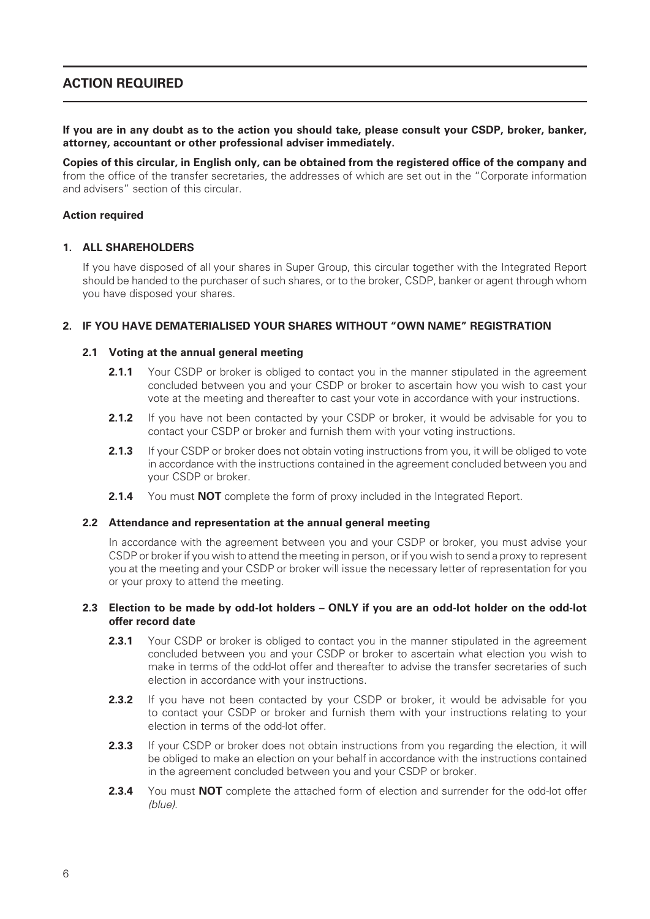## **ACTION REQUIRED**

**If you are in any doubt as to the action you should take, please consult your CSDP, broker, banker, attorney, accountant or other professional adviser immediately.**

Copies of this circular, in English only, can be obtained from the registered office of the company and from the office of the transfer secretaries, the addresses of which are set out in the "Corporate information and advisers" section of this circular.

#### **Action required**

### **1. ALL SHAREHOLDERS**

If you have disposed of all your shares in Super Group, this circular together with the Integrated Report should be handed to the purchaser of such shares, or to the broker, CSDP, banker or agent through whom you have disposed your shares.

#### **2. IF YOU HAVE DEMATERIALISED YOUR SHARES WITHOUT "OWN NAME" REGISTRATION**

#### **2.1 Voting at the annual general meeting**

- **2.1.1** Your CSDP or broker is obliged to contact you in the manner stipulated in the agreement concluded between you and your CSDP or broker to ascertain how you wish to cast your vote at the meeting and thereafter to cast your vote in accordance with your instructions.
- **2.1.2** If you have not been contacted by your CSDP or broker, it would be advisable for you to contact your CSDP or broker and furnish them with your voting instructions.
- **2.1.3** If your CSDP or broker does not obtain voting instructions from you, it will be obliged to vote in accordance with the instructions contained in the agreement concluded between you and your CSDP or broker.
- **2.1.4** You must **NOT** complete the form of proxy included in the Integrated Report.

#### **2.2 Attendance and representation at the annual general meeting**

In accordance with the agreement between you and your CSDP or broker, you must advise your CSDP or broker if you wish to attend the meeting in person, or if you wish to send a proxy to represent you at the meeting and your CSDP or broker will issue the necessary letter of representation for you or your proxy to attend the meeting.

#### **2.3 Election to be made by odd-lot holders – ONLY if you are an odd-lot holder on the odd-lot offer record date**

- **2.3.1** Your CSDP or broker is obliged to contact you in the manner stipulated in the agreement concluded between you and your CSDP or broker to ascertain what election you wish to make in terms of the odd-lot offer and thereafter to advise the transfer secretaries of such election in accordance with your instructions.
- **2.3.2** If you have not been contacted by your CSDP or broker, it would be advisable for you to contact your CSDP or broker and furnish them with your instructions relating to your election in terms of the odd-lot offer.
- **2.3.3** If your CSDP or broker does not obtain instructions from you regarding the election, it will be obliged to make an election on your behalf in accordance with the instructions contained in the agreement concluded between you and your CSDP or broker.
- **2.3.4** You must **NOT** complete the attached form of election and surrender for the odd-lot offer (blue).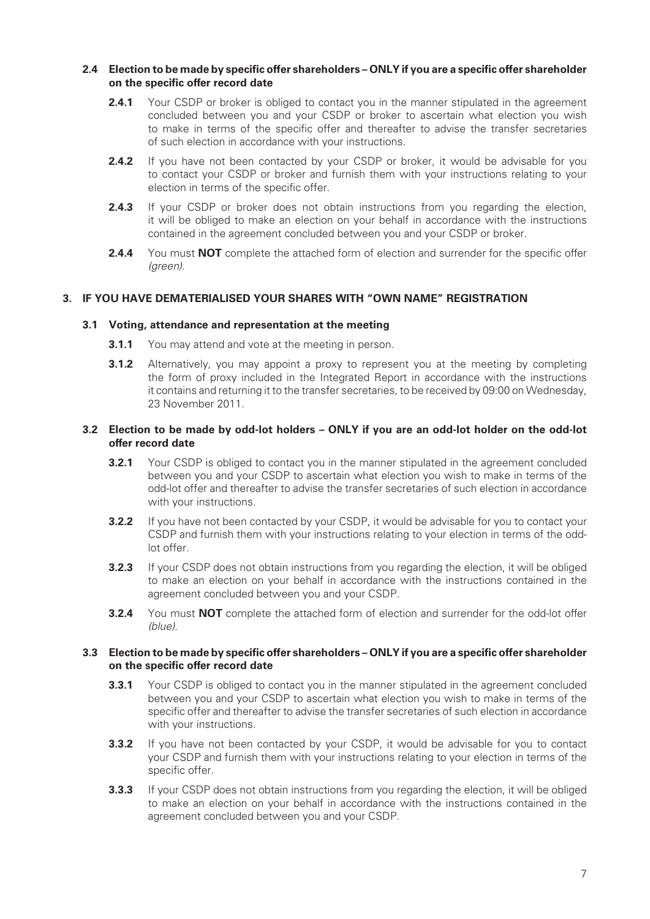#### 2.4 Election to be made by specific offer shareholders – ONLY if you are a specific offer shareholder **on the specific offer record date**

- **2.4.1** Your CSDP or broker is obliged to contact you in the manner stipulated in the agreement concluded between you and your CSDP or broker to ascertain what election you wish to make in terms of the specific offer and thereafter to advise the transfer secretaries of such election in accordance with your instructions.
- **2.4.2** If you have not been contacted by your CSDP or broker, it would be advisable for you to contact your CSDP or broker and furnish them with your instructions relating to your election in terms of the specific offer.
- 2.4.3 If your CSDP or broker does not obtain instructions from you regarding the election, it will be obliged to make an election on your behalf in accordance with the instructions contained in the agreement concluded between you and your CSDP or broker.
- **2.4.4** You must **NOT** complete the attached form of election and surrender for the specific offer (green).

### **3. IF YOU HAVE DEMATERIALISED YOUR SHARES WITH "OWN NAME" REGISTRATION**

#### **3.1 Voting, attendance and representation at the meeting**

- **3.1.1** You may attend and vote at the meeting in person.
- **3.1.2** Alternatively, you may appoint a proxy to represent you at the meeting by completing the form of proxy included in the Integrated Report in accordance with the instructions it contains and returning it to the transfer secretaries, to be received by 09:00 on Wednesday, 23 November 2011.

#### **3.2 Election to be made by odd-lot holders – ONLY if you are an odd-lot holder on the odd-lot offer record date**

- **3.2.1** Your CSDP is obliged to contact you in the manner stipulated in the agreement concluded between you and your CSDP to ascertain what election you wish to make in terms of the odd-lot offer and thereafter to advise the transfer secretaries of such election in accordance with your instructions.
- **3.2.2** If you have not been contacted by your CSDP, it would be advisable for you to contact your CSDP and furnish them with your instructions relating to your election in terms of the oddlot offer.
- **3.2.3** If your CSDP does not obtain instructions from you regarding the election, it will be obliged to make an election on your behalf in accordance with the instructions contained in the agreement concluded between you and your CSDP.
- **3.2.4** You must **NOT** complete the attached form of election and surrender for the odd-lot offer (blue).

#### **3.3** Election to be made by specific offer shareholders – ONLY if you are a specific offer shareholder on the specific offer record date

- **3.3.1** Your CSDP is obliged to contact you in the manner stipulated in the agreement concluded between you and your CSDP to ascertain what election you wish to make in terms of the specific offer and thereafter to advise the transfer secretaries of such election in accordance with your instructions.
- **3.3.2** If you have not been contacted by your CSDP, it would be advisable for you to contact your CSDP and furnish them with your instructions relating to your election in terms of the specific offer.
- **3.3.3** If your CSDP does not obtain instructions from you regarding the election, it will be obliged to make an election on your behalf in accordance with the instructions contained in the agreement concluded between you and your CSDP.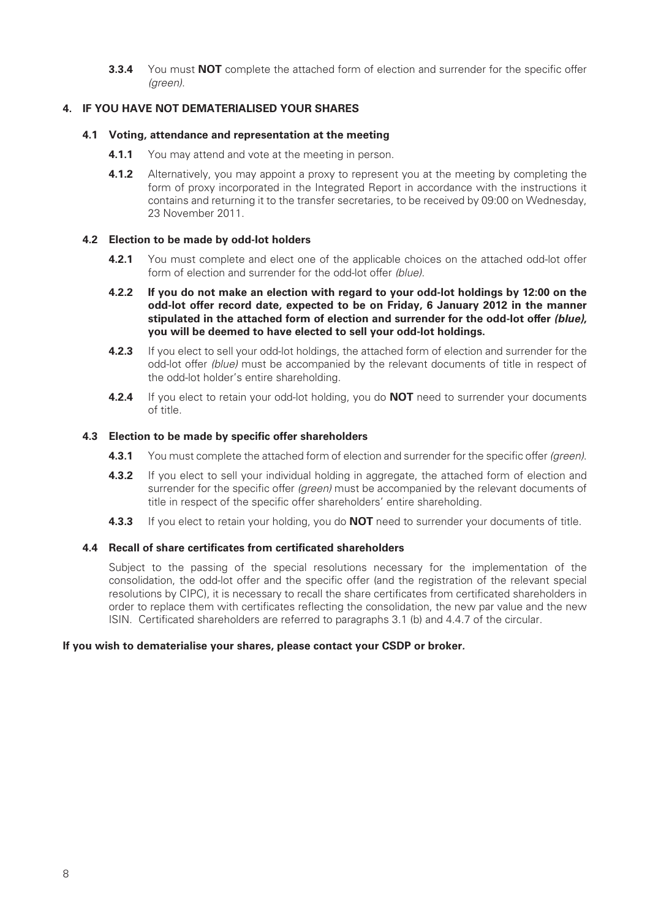**3.3.4** You must **NOT** complete the attached form of election and surrender for the specific offer (green).

### **4. IF YOU HAVE NOT DEMATERIALISED YOUR SHARES**

#### **4.1 Voting, attendance and representation at the meeting**

- **4.1.1** You may attend and vote at the meeting in person.
- **4.1.2** Alternatively, you may appoint a proxy to represent you at the meeting by completing the form of proxy incorporated in the Integrated Report in accordance with the instructions it contains and returning it to the transfer secretaries, to be received by 09:00 on Wednesday, 23 November 2011.

#### **4.2 Election to be made by odd-lot holders**

- **4.2.1** You must complete and elect one of the applicable choices on the attached odd-lot offer form of election and surrender for the odd-lot offer *(blue)*.
- **4.2.2 If you do not make an election with regard to your odd-lot holdings by 12:00 on the odd-lot offer record date, expected to be on Friday, 6 January 2012 in the manner stipulated in the attached form of election and surrender for the odd-lot offer** *(blue)***, you will be deemed to have elected to sell your odd-lot holdings.**
- **4.2.3** If you elect to sell your odd-lot holdings, the attached form of election and surrender for the odd-lot offer (blue) must be accompanied by the relevant documents of title in respect of the odd-lot holder's entire shareholding.
- **4.2.4** If you elect to retain your odd-lot holding, you do **NOT** need to surrender your documents of title.

### **4.3 Election to be made by specific offer shareholders**

- **4.3.1** You must complete the attached form of election and surrender for the specific offer *(green)*.
- **4.3.2** If you elect to sell your individual holding in aggregate, the attached form of election and surrender for the specific offer (green) must be accompanied by the relevant documents of title in respect of the specific offer shareholders' entire shareholding.
- **4.3.3** If you elect to retain your holding, you do **NOT** need to surrender your documents of title.

### **4.4 Recall of share certificates from certificated shareholders**

Subject to the passing of the special resolutions necessary for the implementation of the consolidation, the odd-lot offer and the specific offer (and the registration of the relevant special resolutions by CIPC), it is necessary to recall the share certificates from certificated shareholders in order to replace them with certificates reflecting the consolidation, the new par value and the new ISIN. Certificated shareholders are referred to paragraphs 3.1 (b) and 4.4.7 of the circular.

#### **If you wish to dematerialise your shares, please contact your CSDP or broker***.*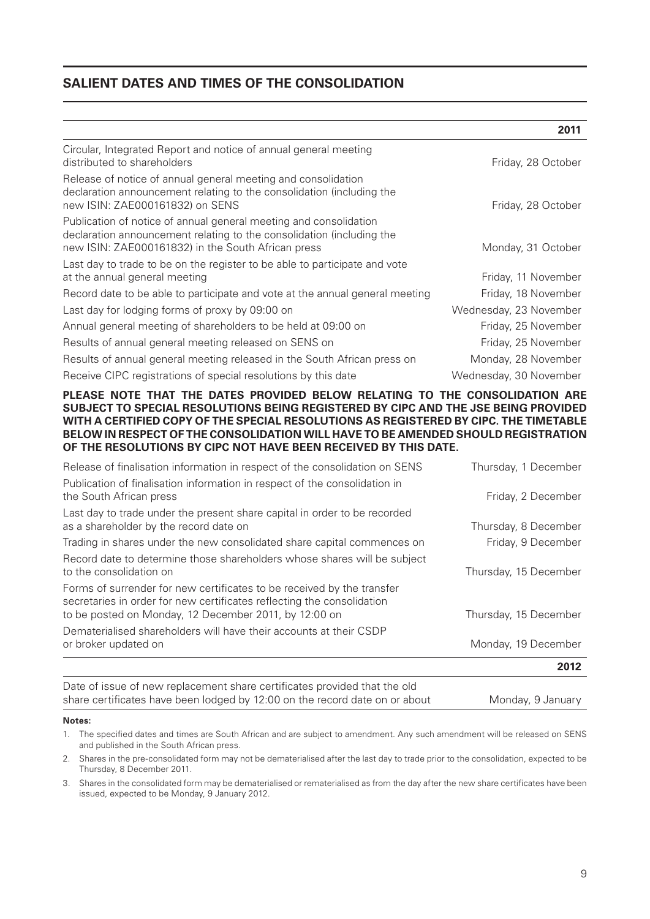## **SALIENT DATES AND TIMES OF THE CONSOLIDATION**

|                                                                                                                                                                                                  | 2011                   |
|--------------------------------------------------------------------------------------------------------------------------------------------------------------------------------------------------|------------------------|
| Circular, Integrated Report and notice of annual general meeting<br>distributed to shareholders                                                                                                  | Friday, 28 October     |
| Release of notice of annual general meeting and consolidation<br>declaration announcement relating to the consolidation (including the<br>new ISIN: ZAE000161832) on SENS                        | Friday, 28 October     |
| Publication of notice of annual general meeting and consolidation<br>declaration announcement relating to the consolidation (including the<br>new ISIN: ZAE000161832) in the South African press | Monday, 31 October     |
| Last day to trade to be on the register to be able to participate and vote<br>at the annual general meeting                                                                                      | Friday, 11 November    |
| Record date to be able to participate and vote at the annual general meeting                                                                                                                     | Friday, 18 November    |
| Last day for lodging forms of proxy by 09:00 on                                                                                                                                                  | Wednesday, 23 November |
| Annual general meeting of shareholders to be held at 09:00 on                                                                                                                                    | Friday, 25 November    |
| Results of annual general meeting released on SENS on                                                                                                                                            | Friday, 25 November    |
| Results of annual general meeting released in the South African press on                                                                                                                         | Monday, 28 November    |
| Receive CIPC registrations of special resolutions by this date                                                                                                                                   | Wednesday, 30 November |

#### **PLEASE NOTE THAT THE DATES PROVIDED BELOW RELATING TO THE CONSOLIDATION ARE SUBJECT TO SPECIAL RESOLUTIONS BEING REGISTERED BY CIPC AND THE JSE BEING PROVIDED WITH A CERTIFIED COPY OF THE SPECIAL RESOLUTIONS AS REGISTERED BY CIPC. THE TIMETABLE BELOW IN RESPECT OF THE CONSOLIDATION WILL HAVE TO BE AMENDED SHOULD REGISTRATION OF THE RESOLUTIONS BY CIPC NOT HAVE BEEN RECEIVED BY THIS DATE.**

| Release of finalisation information in respect of the consolidation on SENS                                                                                                                               | Thursday, 1 December  |  |
|-----------------------------------------------------------------------------------------------------------------------------------------------------------------------------------------------------------|-----------------------|--|
| Publication of finalisation information in respect of the consolidation in<br>the South African press                                                                                                     | Friday, 2 December    |  |
| Last day to trade under the present share capital in order to be recorded<br>as a shareholder by the record date on                                                                                       | Thursday, 8 December  |  |
| Trading in shares under the new consolidated share capital commences on                                                                                                                                   | Friday, 9 December    |  |
| Record date to determine those shareholders whose shares will be subject<br>to the consolidation on                                                                                                       | Thursday, 15 December |  |
| Forms of surrender for new certificates to be received by the transfer<br>secretaries in order for new certificates reflecting the consolidation<br>to be posted on Monday, 12 December 2011, by 12:00 on | Thursday, 15 December |  |
| Dematerialised shareholders will have their accounts at their CSDP<br>or broker updated on                                                                                                                | Monday, 19 December   |  |
|                                                                                                                                                                                                           | 2012                  |  |
| Date of issue of new replacement share certificates provided that the old                                                                                                                                 |                       |  |

share certificates have been lodged by 12:00 on the record date on or about Monday, 9 January

#### **Notes:**

- 1. The specified dates and times are South African and are subject to amendment. Any such amendment will be released on SENS and published in the South African press.
- 2. Shares in the pre-consolidated form may not be dematerialised after the last day to trade prior to the consolidation, expected to be Thursday, 8 December 2011.
- 3. Shares in the consolidated form may be dematerialised or rematerialised as from the day after the new share certificates have been issued, expected to be Monday, 9 January 2012.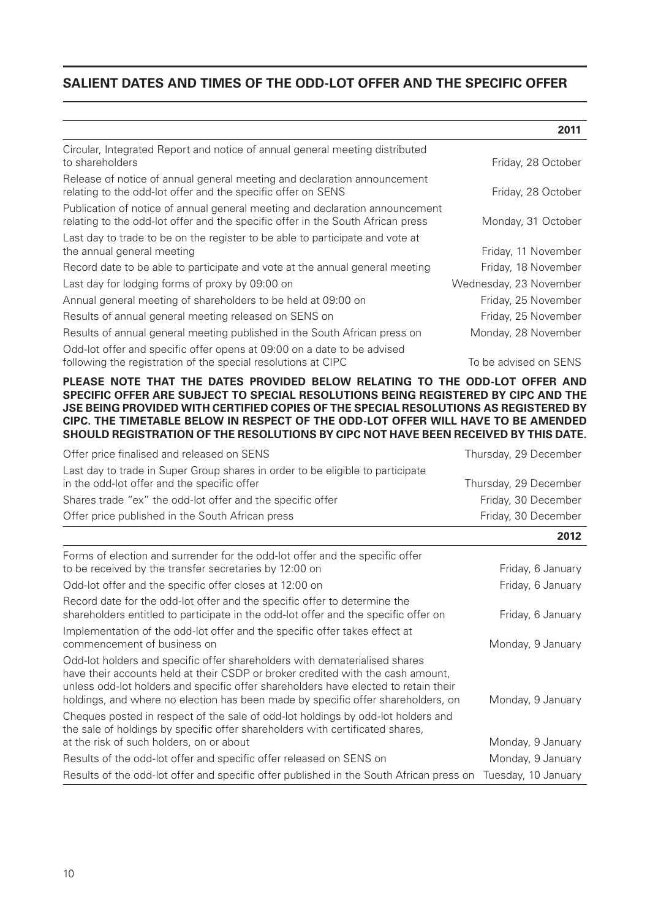## **SALIENT DATES AND TIMES OF THE ODD-LOT OFFER AND THE SPECIFIC OFFER**

|                                                                                                                                                                 | 2011                   |
|-----------------------------------------------------------------------------------------------------------------------------------------------------------------|------------------------|
| Circular, Integrated Report and notice of annual general meeting distributed<br>to shareholders                                                                 | Friday, 28 October     |
| Release of notice of annual general meeting and declaration announcement<br>relating to the odd-lot offer and the specific offer on SENS                        | Friday, 28 October     |
| Publication of notice of annual general meeting and declaration announcement<br>relating to the odd-lot offer and the specific offer in the South African press | Monday, 31 October     |
| Last day to trade to be on the register to be able to participate and vote at<br>the annual general meeting                                                     | Friday, 11 November    |
| Record date to be able to participate and vote at the annual general meeting                                                                                    | Friday, 18 November    |
| Last day for lodging forms of proxy by 09:00 on                                                                                                                 | Wednesday, 23 November |
| Annual general meeting of shareholders to be held at 09:00 on                                                                                                   | Friday, 25 November    |
| Results of annual general meeting released on SENS on                                                                                                           | Friday, 25 November    |
| Results of annual general meeting published in the South African press on                                                                                       | Monday, 28 November    |
| Odd-lot offer and specific offer opens at 09:00 on a date to be advised<br>following the registration of the special resolutions at CIPC                        | To be advised on SENS  |

#### **PLEASE NOTE THAT THE DATES PROVIDED BELOW RELATING TO THE ODD-LOT OFFER AND SPECIFIC OFFER ARE SUBJECT TO SPECIAL RESOLUTIONS BEING REGISTERED BY CIPC AND THE JSE BEING PROVIDED WITH CERTIFIED COPIES OF THE SPECIAL RESOLUTIONS AS REGISTERED BY CIPC. THE TIMETABLE BELOW IN RESPECT OF THE ODD-LOT OFFER WILL HAVE TO BE AMENDED SHOULD REGISTRATION OF THE RESOLUTIONS BY CIPC NOT HAVE BEEN RECEIVED BY THIS DATE.**

|                                                                                | 2012                  |
|--------------------------------------------------------------------------------|-----------------------|
| Offer price published in the South African press                               | Friday, 30 December   |
| Shares trade "ex" the odd-lot offer and the specific offer                     | Friday, 30 December   |
| in the odd-lot offer and the specific offer                                    | Thursday, 29 December |
| Last day to trade in Super Group shares in order to be eligible to participate |                       |
| Offer price finalised and released on SENS                                     | Thursday, 29 December |

| Forms of election and surrender for the odd-lot offer and the specific offer<br>to be received by the transfer secretaries by 12:00 on                                                                                                                                                                                                   | Friday, 6 January   |
|------------------------------------------------------------------------------------------------------------------------------------------------------------------------------------------------------------------------------------------------------------------------------------------------------------------------------------------|---------------------|
| Odd-lot offer and the specific offer closes at 12:00 on                                                                                                                                                                                                                                                                                  | Friday, 6 January   |
| Record date for the odd-lot offer and the specific offer to determine the<br>shareholders entitled to participate in the odd-lot offer and the specific offer on                                                                                                                                                                         | Friday, 6 January   |
| Implementation of the odd-lot offer and the specific offer takes effect at<br>commencement of business on                                                                                                                                                                                                                                | Monday, 9 January   |
| Odd-lot holders and specific offer shareholders with dematerialised shares<br>have their accounts held at their CSDP or broker credited with the cash amount,<br>unless odd-lot holders and specific offer shareholders have elected to retain their<br>holdings, and where no election has been made by specific offer shareholders, on | Monday, 9 January   |
| Cheques posted in respect of the sale of odd-lot holdings by odd-lot holders and<br>the sale of holdings by specific offer shareholders with certificated shares,                                                                                                                                                                        |                     |
| at the risk of such holders, on or about                                                                                                                                                                                                                                                                                                 | Monday, 9 January   |
| Results of the odd-lot offer and specific offer released on SENS on                                                                                                                                                                                                                                                                      | Monday, 9 January   |
| Results of the odd-lot offer and specific offer published in the South African press on                                                                                                                                                                                                                                                  | Tuesday, 10 January |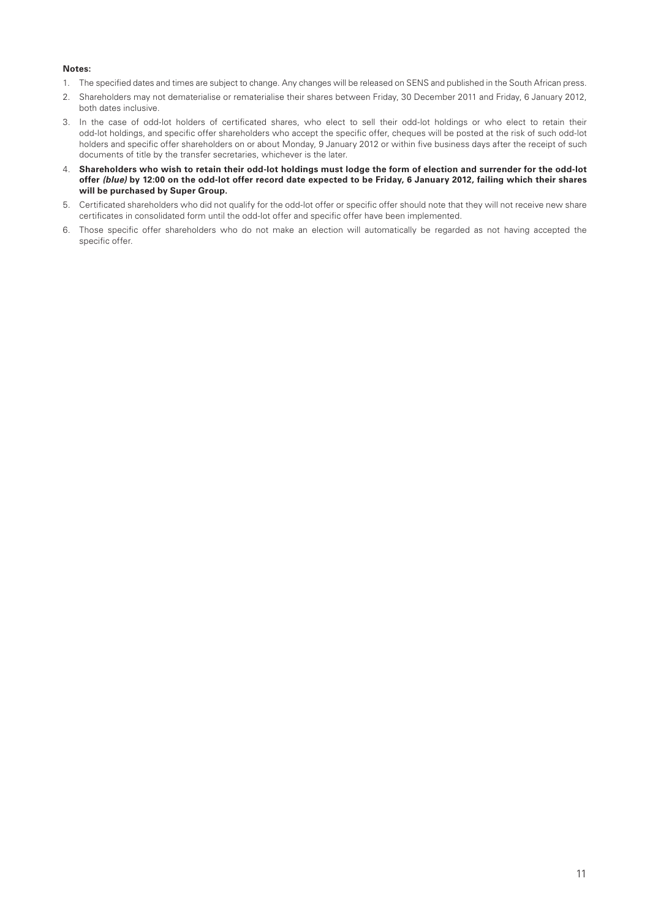#### **Notes:**

- 1. The specified dates and times are subject to change. Any changes will be released on SENS and published in the South African press.
- 2. Shareholders may not dematerialise or rematerialise their shares between Friday, 30 December 2011 and Friday, 6 January 2012, both dates inclusive.
- 3. In the case of odd-lot holders of certificated shares, who elect to sell their odd-lot holdings or who elect to retain their odd-lot holdings, and specific offer shareholders who accept the specific offer, cheques will be posted at the risk of such odd-lot holders and specific offer shareholders on or about Monday, 9 January 2012 or within five business days after the receipt of such documents of title by the transfer secretaries, whichever is the later.
- 4. **Shareholders who wish to retain their odd-lot holdings must lodge the form of election and surrender for the odd-lot offer** *(blue)* **by 12:00 on the odd-lot offer record date expected to be Friday, 6 January 2012, failing which their shares will be purchased by Super Group.**
- 5. Certificated shareholders who did not qualify for the odd-lot offer or specific offer should note that they will not receive new share certificates in consolidated form until the odd-lot offer and specific offer have been implemented.
- 6. Those specific offer shareholders who do not make an election will automatically be regarded as not having accepted the specific offer.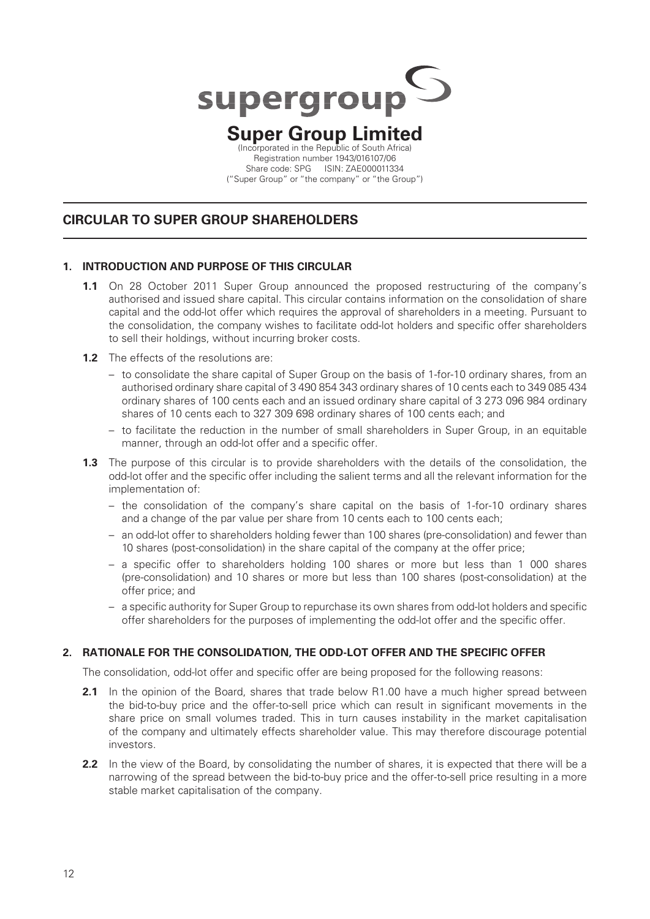

## **Super Group Limited** (Incorporated in the Republic of South Africa)

Registration number 1943/016107/06 Share code: SPG ISIN: ZAE000011334 ("Super Group" or "the company" or "the Group")

## **CIRCULAR TO SUPER GROUP SHAREHOLDERS**

### **1. INTRODUCTION AND PURPOSE OF THIS CIRCULAR**

**1.1** On 28 October 2011 Super Group announced the proposed restructuring of the company's authorised and issued share capital. This circular contains information on the consolidation of share capital and the odd-lot offer which requires the approval of shareholders in a meeting. Pursuant to the consolidation, the company wishes to facilitate odd-lot holders and specific offer shareholders to sell their holdings, without incurring broker costs.

### **1.2** The effects of the resolutions are:

- to consolidate the share capital of Super Group on the basis of 1 -for -10 ordinary shares, from an authorised ordinary share capital of 3 490 854 343 ordinary shares of 10 cents each to 349 085 434 ordinary shares of 100 cents each and an issued ordinary share capital of 3 273 096 984 ordinary shares of 10 cents each to 327 309 698 ordinary shares of 100 cents each; and
- to facilitate the reduction in the number of small shareholders in Super Group, in an equitable manner, through an odd-lot offer and a specific offer.
- **1.3** The purpose of this circular is to provide shareholders with the details of the consolidation, the odd-lot offer and the specific offer including the salient terms and all the relevant information for the implementation of:
	- the consolidation of the company's share capital on the basis of 1 -for -10 ordinary shares and a change of the par value per share from 10 cents each to 100 cents each;
	- an odd-lot offer to shareholders holding fewer than 100 shares (pre-consolidation) and fewer than 10 shares (post-consolidation) in the share capital of the company at the offer price;
	- a specific offer to shareholders holding 100 shares or more but less than 1 000 shares (pre-consolidation) and 10 shares or more but less than 100 shares (post-consolidation) at the offer price; and
	- a specific authority for Super Group to repurchase its own shares from odd-lot holders and specific offer shareholders for the purposes of implementing the odd-lot offer and the specific offer.

### **2. RATIONALE FOR THE CONSOLIDATION, THE ODD-LOT OFFER AND THE SPECIFIC OFFER**

The consolidation, odd-lot offer and specific offer are being proposed for the following reasons:

- **2.1** In the opinion of the Board, shares that trade below R1.00 have a much higher spread between the bid-to-buy price and the offer-to-sell price which can result in significant movements in the share price on small volumes traded. This in turn causes instability in the market capitalisation of the company and ultimately effects shareholder value. This may therefore discourage potential investors.
- **2.2** In the view of the Board, by consolidating the number of shares, it is expected that there will be a narrowing of the spread between the bid-to-buy price and the offer-to-sell price resulting in a more stable market capitalisation of the company.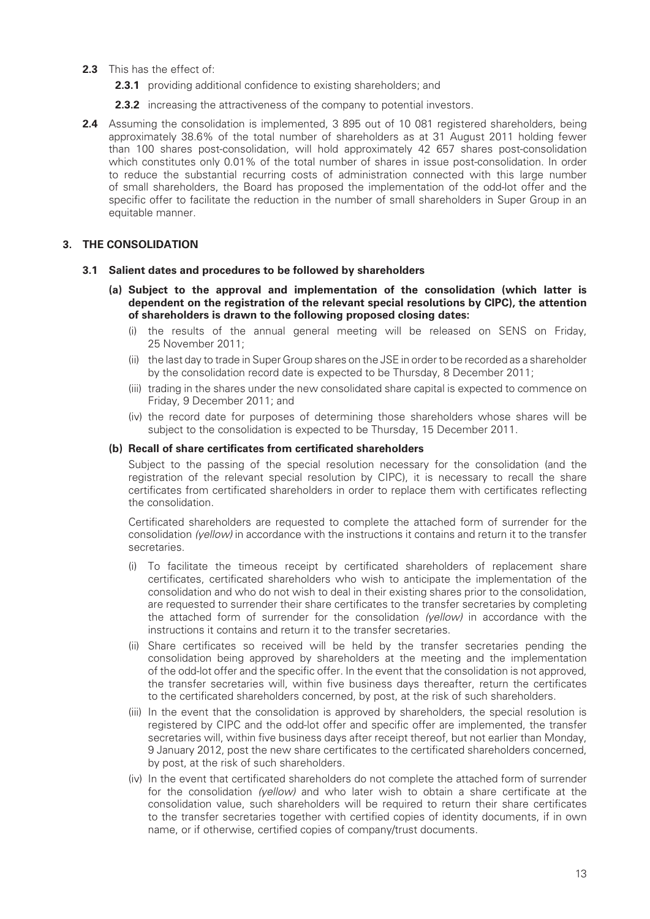- **2.3** This has the effect of:
	- **2.3.1** providing additional confidence to existing shareholders; and
	- **2.3.2** increasing the attractiveness of the company to potential investors.
- **2.4** Assuming the consolidation is implemented, 3 895 out of 10 081 registered shareholders, being approximately 38.6% of the total number of shareholders as at 31 August 2011 holding fewer than 100 shares post-consolidation, will hold approximately 42 657 shares post-consolidation which constitutes only 0.01% of the total number of shares in issue post-consolidation. In order to reduce the substantial recurring costs of administration connected with this large number of small shareholders, the Board has proposed the implementation of the odd-lot offer and the specific offer to facilitate the reduction in the number of small shareholders in Super Group in an equitable manner.

### **3. THE CONSOLIDATION**

- **3.1 Salient dates and procedures to be followed by shareholders**
	- **(a) Subject to the approval and implementation of the consolidation (which latter is dependent on the registration of the relevant special resolutions by CIPC), the attention of shareholders is drawn to the following proposed closing dates:**
		- (i) the results of the annual general meeting will be released on SENS on Friday, 25 November 2011;
		- (ii) the last day to trade in Super Group shares on the JSE in order to be recorded as a shareholder by the consolidation record date is expected to be Thursday, 8 December 2011;
		- (iii) trading in the shares under the new consolidated share capital is expected to commence on Friday, 9 December 2011; and
		- (iv) the record date for purposes of determining those shareholders whose shares will be subject to the consolidation is expected to be Thursday, 15 December 2011.

### (b) Recall of share certificates from certificated shareholders

Subject to the passing of the special resolution necessary for the consolidation (and the registration of the relevant special resolution by CIPC), it is necessary to recall the share certificates from certificated shareholders in order to replace them with certificates reflecting the consolidation.

Certificated shareholders are requested to complete the attached form of surrender for the consolidation (yellow) in accordance with the instructions it contains and return it to the transfer secretaries.

- (i) To facilitate the timeous receipt by certificated shareholders of replacement share certificates, certificated shareholders who wish to anticipate the implementation of the consolidation and who do not wish to deal in their existing shares prior to the consolidation, are requested to surrender their share certificates to the transfer secretaries by completing the attached form of surrender for the consolidation (yellow) in accordance with the instructions it contains and return it to the transfer secretaries.
- (ii) Share certificates so received will be held by the transfer secretaries pending the consolidation being approved by shareholders at the meeting and the implementation of the odd-lot offer and the specific offer. In the event that the consolidation is not approved, the transfer secretaries will, within five business days thereafter, return the certificates to the certificated shareholders concerned, by post, at the risk of such shareholders.
- (iii) In the event that the consolidation is approved by shareholders, the special resolution is registered by CIPC and the odd-lot offer and specific offer are implemented, the transfer secretaries will, within five business days after receipt thereof, but not earlier than Monday, 9 January 2012, post the new share certificates to the certificated shareholders concerned, by post, at the risk of such shareholders.
- (iv) In the event that certificated shareholders do not complete the attached form of surrender for the consolidation (yellow) and who later wish to obtain a share certificate at the consolidation value, such shareholders will be required to return their share certificates to the transfer secretaries together with certified copies of identity documents, if in own name, or if otherwise, certified copies of company/trust documents.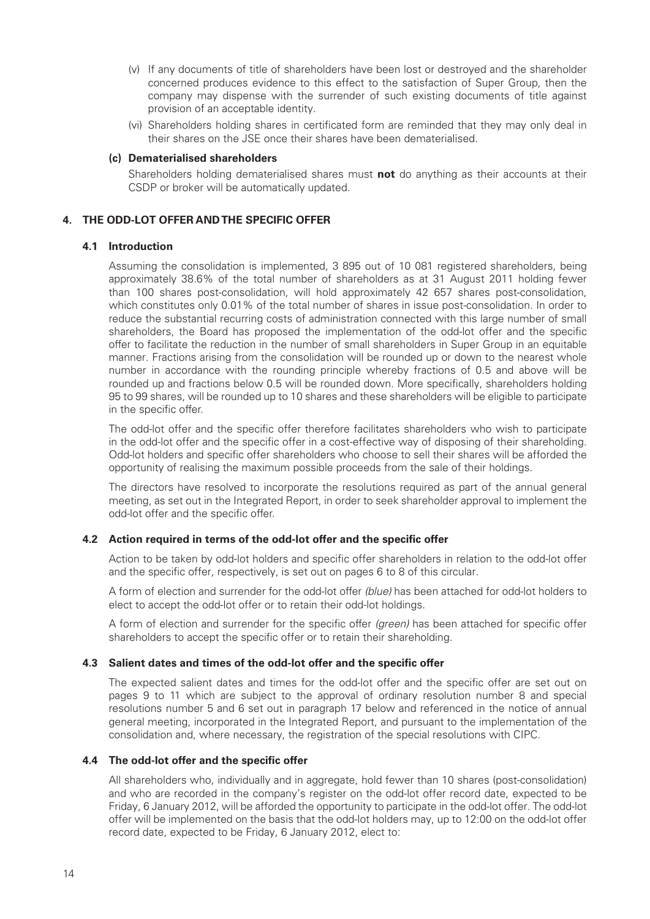- (v) If any documents of title of shareholders have been lost or destroyed and the shareholder concerned produces evidence to this effect to the satisfaction of Super Group, then the company may dispense with the surrender of such existing documents of title against provision of an acceptable identity.
- (vi) Shareholders holding shares in certificated form are reminded that they may only deal in their shares on the JSE once their shares have been dematerialised.

#### **(c) Dematerialised shareholders**

Shareholders holding dematerialised shares must **not** do anything as their accounts at their CSDP or broker will be automatically updated.

#### **4. THE ODD-LOT OFFER AND THE SPECIFIC OFFER**

#### **4.1 Introduction**

Assuming the consolidation is implemented, 3 895 out of 10 081 registered shareholders, being approximately 38.6% of the total number of shareholders as at 31 August 2011 holding fewer than 100 shares post-consolidation, will hold approximately 42 657 shares post-consolidation, which constitutes only 0.01% of the total number of shares in issue post-consolidation. In order to reduce the substantial recurring costs of administration connected with this large number of small shareholders, the Board has proposed the implementation of the odd-lot offer and the specific offer to facilitate the reduction in the number of small shareholders in Super Group in an equitable manner. Fractions arising from the consolidation will be rounded up or down to the nearest whole number in accordance with the rounding principle whereby fractions of 0.5 and above will be rounded up and fractions below 0.5 will be rounded down. More specifically, shareholders holding 95 to 99 shares, will be rounded up to 10 shares and these shareholders will be eligible to participate in the specific offer.

The odd-lot offer and the specific offer therefore facilitates shareholders who wish to participate in the odd-lot offer and the specific offer in a cost-effective way of disposing of their shareholding. Odd-lot holders and specific offer shareholders who choose to sell their shares will be afforded the opportunity of realising the maximum possible proceeds from the sale of their holdings.

The directors have resolved to incorporate the resolutions required as part of the annual general meeting, as set out in the Integrated Report, in order to seek shareholder approval to implement the odd-lot offer and the specific offer.

#### **4.2** Action required in terms of the odd-lot offer and the specific offer

Action to be taken by odd-lot holders and specific offer shareholders in relation to the odd-lot offer and the specific offer, respectively, is set out on pages 6 to 8 of this circular.

A form of election and surrender for the odd-lot offer (blue) has been attached for odd-lot holders to elect to accept the odd-lot offer or to retain their odd-lot holdings.

A form of election and surrender for the specific offer (green) has been attached for specific offer shareholders to accept the specific offer or to retain their shareholding.

#### **4.3** Salient dates and times of the odd-lot offer and the specific offer

The expected salient dates and times for the odd-lot offer and the specific offer are set out on pages 9 to 11 which are subject to the approval of ordinary resolution number 8 and special resolutions number 5 and 6 set out in paragraph 17 below and referenced in the notice of annual general meeting, incorporated in the Integrated Report, and pursuant to the implementation of the consolidation and, where necessary, the registration of the special resolutions with CIPC.

#### **4.4 The odd-lot offer and the specific offer**

All shareholders who, individually and in aggregate, hold fewer than 10 shares (post-consolidation) and who are recorded in the company's register on the odd-lot offer record date, expected to be Friday, 6 January 2012, will be afforded the opportunity to participate in the odd-lot offer. The odd-lot offer will be implemented on the basis that the odd-lot holders may, up to 12:00 on the odd-lot offer record date, expected to be Friday, 6 January 2012, elect to: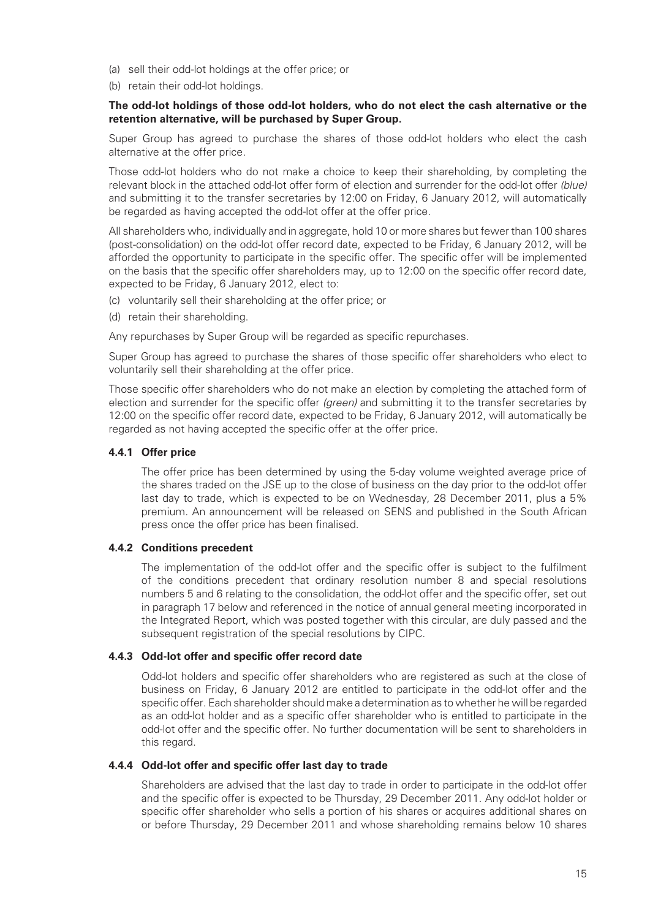- (a) sell their odd-lot holdings at the offer price; or
- (b) retain their odd-lot holdings.

#### **The odd-lot holdings of those odd-lot holders, who do not elect the cash alternative or the retention alternative, will be purchased by Super Group.**

Super Group has agreed to purchase the shares of those odd-lot holders who elect the cash alternative at the offer price.

Those odd-lot holders who do not make a choice to keep their shareholding, by completing the relevant block in the attached odd-lot offer form of election and surrender for the odd-lot offer (blue) and submitting it to the transfer secretaries by 12:00 on Friday, 6 January 2012, will automatically be regarded as having accepted the odd-lot offer at the offer price.

All shareholders who, individually and in aggregate, hold 10 or more shares but fewer than 100 shares (post-consolidation) on the odd-lot offer record date, expected to be Friday, 6 January 2012, will be afforded the opportunity to participate in the specific offer. The specific offer will be implemented on the basis that the specific offer shareholders may, up to 12:00 on the specific offer record date, expected to be Friday, 6 January 2012, elect to:

- (c) voluntarily sell their shareholding at the offer price; or
- (d) retain their shareholding.

Any repurchases by Super Group will be regarded as specific repurchases.

Super Group has agreed to purchase the shares of those specific offer shareholders who elect to voluntarily sell their shareholding at the offer price.

Those specific offer shareholders who do not make an election by completing the attached form of election and surrender for the specific offer (green) and submitting it to the transfer secretaries by 12:00 on the specific offer record date, expected to be Friday, 6 January 2012, will automatically be regarded as not having accepted the specific offer at the offer price.

### **4.4.1 Offer price**

The offer price has been determined by using the 5-day volume weighted average price of the shares traded on the JSE up to the close of business on the day prior to the odd-lot offer last day to trade, which is expected to be on Wednesday, 28 December 2011, plus a 5% premium. An announcement will be released on SENS and published in the South African press once the offer price has been finalised.

### **4.4.2 Conditions precedent**

The implementation of the odd-lot offer and the specific offer is subject to the fulfilment of the conditions precedent that ordinary resolution number 8 and special resolutions numbers 5 and 6 relating to the consolidation, the odd-lot offer and the specific offer, set out in paragraph 17 below and referenced in the notice of annual general meeting incorporated in the Integrated Report, which was posted together with this circular, are duly passed and the subsequent registration of the special resolutions by CIPC.

### **4.4.3 Odd-lot offer and specific offer record date**

Odd-lot holders and specific offer shareholders who are registered as such at the close of business on Friday, 6 January 2012 are entitled to participate in the odd-lot offer and the specific offer. Each shareholder should make a determination as to whether he will be regarded as an odd-lot holder and as a specific offer shareholder who is entitled to participate in the odd-lot offer and the specific offer. No further documentation will be sent to shareholders in this regard.

### **4.4.4 Odd-lot offer and specific offer last day to trade**

Shareholders are advised that the last day to trade in order to participate in the odd-lot offer and the specific offer is expected to be Thursday, 29 December 2011. Any odd-lot holder or specific offer shareholder who sells a portion of his shares or acquires additional shares on or before Thursday, 29 December 2011 and whose shareholding remains below 10 shares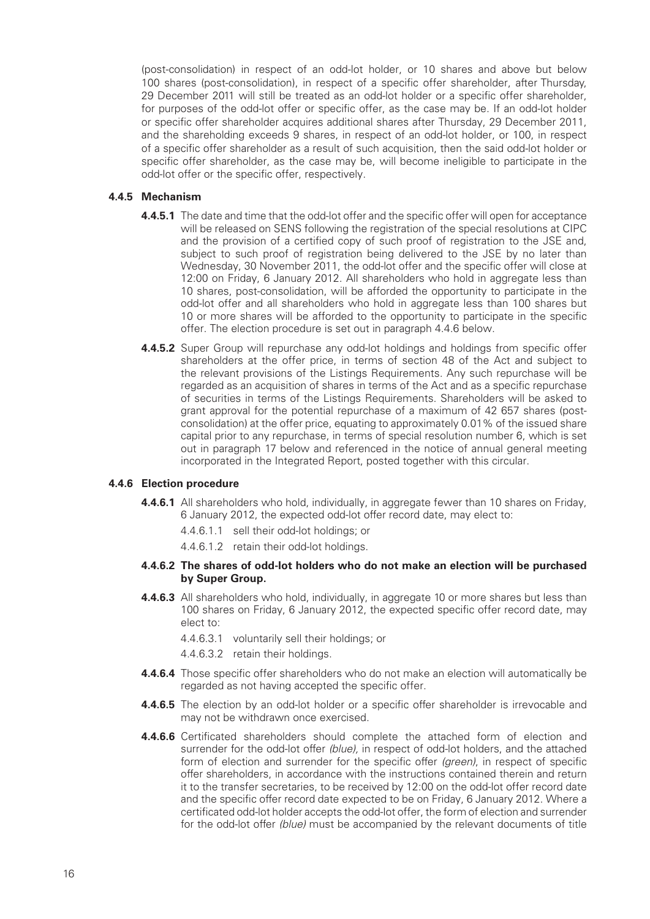(post-consolidation) in respect of an odd-lot holder, or 10 shares and above but below 100 shares (post-consolidation), in respect of a specific offer shareholder, after Thursday, 29 December 2011 will still be treated as an odd-lot holder or a specific offer shareholder, for purposes of the odd-lot offer or specific offer, as the case may be. If an odd-lot holder or specific offer shareholder acquires additional shares after Thursday, 29 December 2011, and the shareholding exceeds 9 shares, in respect of an odd-lot holder, or 100, in respect of a specific offer shareholder as a result of such acquisition, then the said odd-lot holder or specific offer shareholder, as the case may be, will become ineligible to participate in the odd-lot offer or the specific offer, respectively.

#### **4.4.5 Mechanism**

- **4.4.5.1** The date and time that the odd-lot offer and the specific offer will open for acceptance will be released on SENS following the registration of the special resolutions at CIPC and the provision of a certified copy of such proof of registration to the JSE and, subject to such proof of registration being delivered to the JSE by no later than Wednesday, 30 November 2011, the odd-lot offer and the specific offer will close at 12:00 on Friday, 6 January 2012. All shareholders who hold in aggregate less than 10 shares, post-consolidation, will be afforded the opportunity to participate in the odd-lot offer and all shareholders who hold in aggregate less than 100 shares but 10 or more shares will be afforded to the opportunity to participate in the specific offer. The election procedure is set out in paragraph 4.4.6 below.
- **4.4.5.2** Super Group will repurchase any odd-lot holdings and holdings from specific offer shareholders at the offer price, in terms of section 48 of the Act and subject to the relevant provisions of the Listings Requirements. Any such repurchase will be regarded as an acquisition of shares in terms of the Act and as a specific repurchase of securities in terms of the Listings Requirements. Shareholders will be asked to grant approval for the potential repurchase of a maximum of 42 657 shares (postconsolidation) at the offer price, equating to approximately 0.01% of the issued share capital prior to any repurchase, in terms of special resolution number 6, which is set out in paragraph 17 below and referenced in the notice of annual general meeting incorporated in the Integrated Report, posted together with this circular.

#### **4.4.6 Election procedure**

- **4.4.6.1** All shareholders who hold, individually, in aggregate fewer than 10 shares on Friday, 6 January 2012, the expected odd-lot offer record date, may elect to:
	- 4.4.6.1.1 sell their odd-lot holdings; or
	- 4.4.6.1.2 retain their odd-lot holdings.

#### **4.4.6.2 The shares of odd-lot holders who do not make an election will be purchased by Super Group.**

- **4.4.6.3** All shareholders who hold, individually, in aggregate 10 or more shares but less than 100 shares on Friday, 6 January 2012, the expected specific offer record date, may elect to:
	- 4.4.6.3.1 voluntarily sell their holdings; or
	- 4.4.6.3.2 retain their holdings.
- **4.4.6.4** Those specific offer shareholders who do not make an election will automatically be regarded as not having accepted the specific offer.
- **4.4.6.5** The election by an odd-lot holder or a specific offer shareholder is irrevocable and may not be withdrawn once exercised.
- **4.4.6.6** Certificated shareholders should complete the attached form of election and surrender for the odd-lot offer (blue), in respect of odd-lot holders, and the attached form of election and surrender for the specific offer (green), in respect of specific offer shareholders, in accordance with the instructions contained therein and return it to the transfer secretaries, to be received by 12:00 on the odd-lot offer record date and the specific offer record date expected to be on Friday, 6 January 2012. Where a certificated odd-lot holder accepts the odd-lot offer, the form of election and surrender for the odd-lot offer (blue) must be accompanied by the relevant documents of title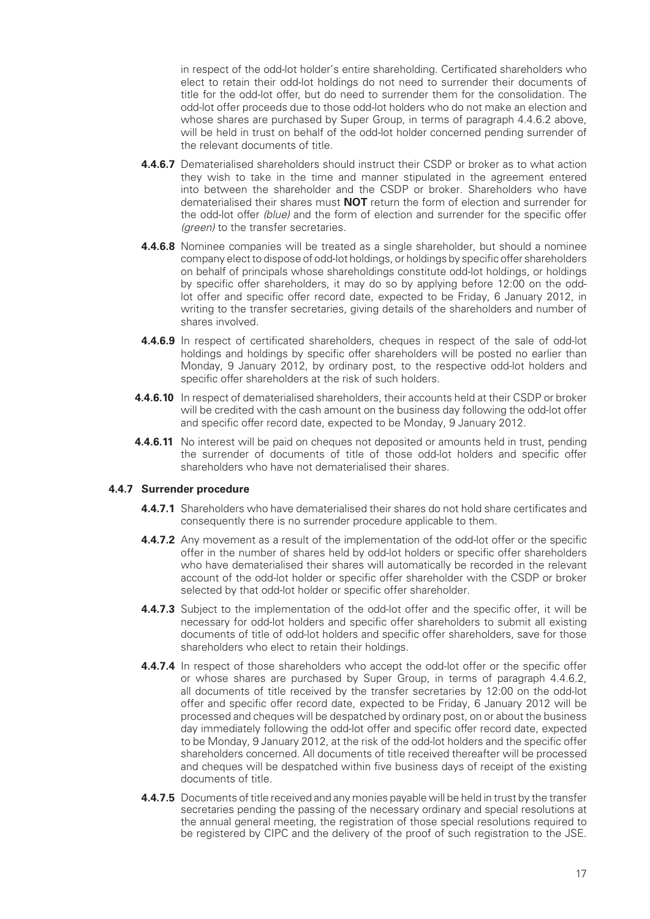in respect of the odd-lot holder's entire shareholding. Certificated shareholders who elect to retain their odd-lot holdings do not need to surrender their documents of title for the odd-lot offer, but do need to surrender them for the consolidation. The odd-lot offer proceeds due to those odd-lot holders who do not make an election and whose shares are purchased by Super Group, in terms of paragraph 4.4.6.2 above, will be held in trust on behalf of the odd-lot holder concerned pending surrender of the relevant documents of title.

- **4.4.6.7** Dematerialised shareholders should instruct their CSDP or broker as to what action they wish to take in the time and manner stipulated in the agreement entered into between the shareholder and the CSDP or broker. Shareholders who have dematerialised their shares must **NOT** return the form of election and surrender for the odd-lot offer (blue) and the form of election and surrender for the specific offer (*areen*) to the transfer secretaries.
- **4.4.6.8** Nominee companies will be treated as a single shareholder, but should a nominee company elect to dispose of odd-lot holdings, or holdings by specific offer shareholders on behalf of principals whose shareholdings constitute odd-lot holdings, or holdings by specific offer shareholders, it may do so by applying before 12:00 on the oddlot offer and specific offer record date, expected to be Friday, 6 January 2012, in writing to the transfer secretaries, giving details of the shareholders and number of shares involved.
- **4.4.6.9** In respect of certificated shareholders, cheques in respect of the sale of odd-lot holdings and holdings by specific offer shareholders will be posted no earlier than Monday, 9 January 2012, by ordinary post, to the respective odd-lot holders and specific offer shareholders at the risk of such holders.
- **4.4.6.10** In respect of dematerialised shareholders, their accounts held at their CSDP or broker will be credited with the cash amount on the business day following the odd-lot offer and specific offer record date, expected to be Monday, 9 January 2012.
- **4.4.6.11** No interest will be paid on cheques not deposited or amounts held in trust, pending the surrender of documents of title of those odd-lot holders and specific offer shareholders who have not dematerialised their shares.

### **4.4.7 Surrender procedure**

- **4.4.7.1** Shareholders who have dematerialised their shares do not hold share certificates and consequently there is no surrender procedure applicable to them.
- **4.4.7.2** Any movement as a result of the implementation of the odd-lot offer or the specific offer in the number of shares held by odd-lot holders or specific offer shareholders who have dematerialised their shares will automatically be recorded in the relevant account of the odd-lot holder or specific offer shareholder with the CSDP or broker selected by that odd-lot holder or specific offer shareholder.
- **4.4.7.3** Subject to the implementation of the odd-lot offer and the specific offer, it will be necessary for odd-lot holders and specific offer shareholders to submit all existing documents of title of odd-lot holders and specific offer shareholders, save for those shareholders who elect to retain their holdings.
- **4.4.7.4** In respect of those shareholders who accept the odd-lot offer or the specific offer or whose shares are purchased by Super Group, in terms of paragraph 4.4.6.2, all documents of title received by the transfer secretaries by 12:00 on the odd-lot offer and specific offer record date, expected to be Friday, 6 January 2012 will be processed and cheques will be despatched by ordinary post, on or about the business day immediately following the odd-lot offer and specific offer record date, expected to be Monday, 9 January 2012, at the risk of the odd-lot holders and the specific offer shareholders concerned. All documents of title received thereafter will be processed and cheques will be despatched within five business days of receipt of the existing documents of title.
- **4.4.7.5** Documents of title received and any monies payable will be held in trust by the transfer secretaries pending the passing of the necessary ordinary and special resolutions at the annual general meeting, the registration of those special resolutions required to be registered by CIPC and the delivery of the proof of such registration to the JSE.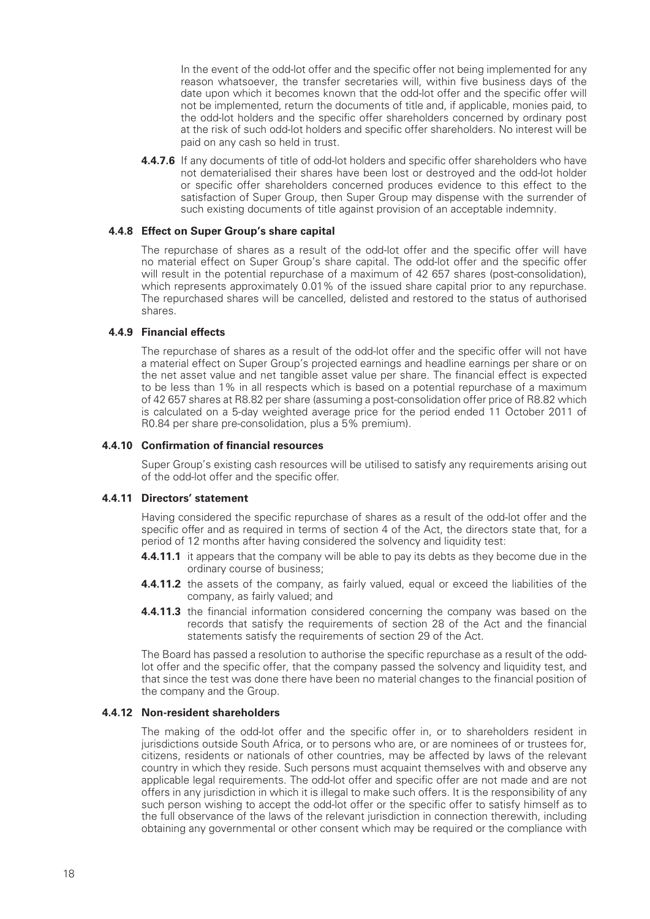In the event of the odd-lot offer and the specific offer not being implemented for any reason whatsoever, the transfer secretaries will, within five business days of the date upon which it becomes known that the odd-lot offer and the specific offer will not be implemented, return the documents of title and, if applicable, monies paid, to the odd-lot holders and the specific offer shareholders concerned by ordinary post at the risk of such odd-lot holders and specific offer shareholders. No interest will be paid on any cash so held in trust.

**4.4.7.6** If any documents of title of odd-lot holders and specific offer shareholders who have not dematerialised their shares have been lost or destroyed and the odd-lot holder or specific offer shareholders concerned produces evidence to this effect to the satisfaction of Super Group, then Super Group may dispense with the surrender of such existing documents of title against provision of an acceptable indemnity.

#### **4.4.8 Effect on Super Group's share capital**

The repurchase of shares as a result of the odd-lot offer and the specific offer will have no material effect on Super Group's share capital. The odd-lot offer and the specific offer will result in the potential repurchase of a maximum of 42 657 shares (post-consolidation), which represents approximately 0.01% of the issued share capital prior to any repurchase. The repurchased shares will be cancelled, delisted and restored to the status of authorised shares.

### **4.4.9 Financial effects**

The repurchase of shares as a result of the odd-lot offer and the specific offer will not have a material effect on Super Group's projected earnings and headline earnings per share or on the net asset value and net tangible asset value per share. The financial effect is expected to be less than 1% in all respects which is based on a potential repurchase of a maximum of 42 657 shares at R8.82 per share (assuming a post-consolidation offer price of R8.82 which is calculated on a 5-day weighted average price for the period ended 11 October 2011 of R0.84 per share pre-consolidation, plus a 5% premium).

#### **4.4.10 Confi rmation of fi nancial resources**

Super Group's existing cash resources will be utilised to satisfy any requirements arising out of the odd-lot offer and the specific offer.

#### **4.4.11 Directors' statement**

Having considered the specific repurchase of shares as a result of the odd-lot offer and the specific offer and as required in terms of section 4 of the Act, the directors state that, for a period of 12 months after having considered the solvency and liquidity test:

- **4.4.11.1** it appears that the company will be able to pay its debts as they become due in the ordinary course of business ;
- **4.4.11.2** the assets of the company, as fairly valued, equal or exceed the liabilities of the company, as fairly valued; and
- **4.4.11.3** the financial information considered concerning the company was based on the records that satisfy the requirements of section 28 of the Act and the financial statements satisfy the requirements of section 29 of the Act.

The Board has passed a resolution to authorise the specific repurchase as a result of the oddlot offer and the specific offer, that the company passed the solvency and liquidity test, and that since the test was done there have been no material changes to the financial position of the company and the Group.

### **4.4.12 Non-resident shareholders**

The making of the odd-lot offer and the specific offer in, or to shareholders resident in jurisdictions outside South Africa, or to persons who are, or are nominees of or trustees for, citizens, residents or nationals of other countries, may be affected by laws of the relevant country in which they reside. Such persons must acquaint themselves with and observe any applicable legal requirements. The odd-lot offer and specific offer are not made and are not offers in any jurisdiction in which it is illegal to make such offers. It is the responsibility of any such person wishing to accept the odd-lot offer or the specific offer to satisfy himself as to the full observance of the laws of the relevant jurisdiction in connection therewith, including obtaining any governmental or other consent which may be required or the compliance with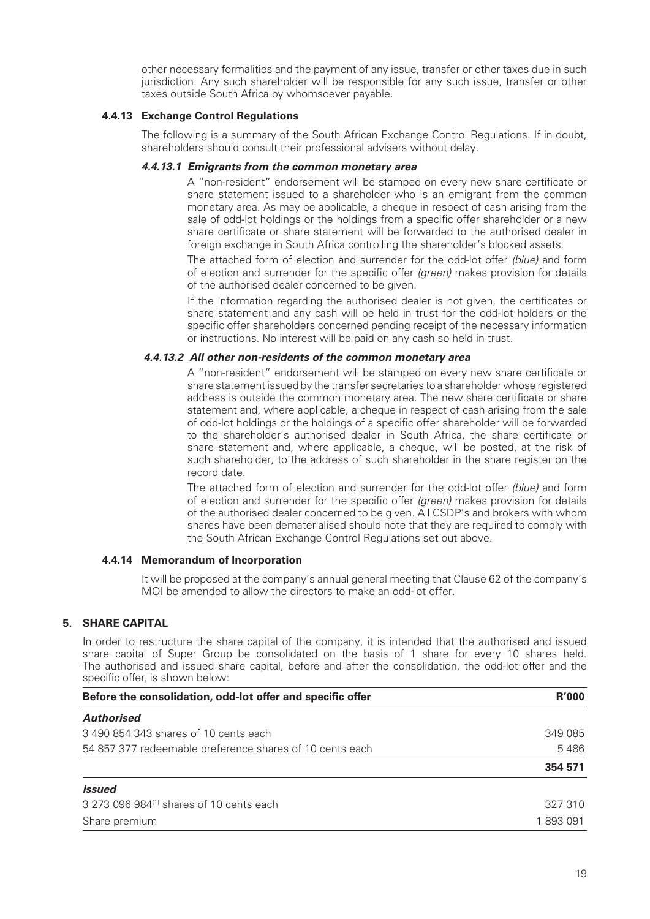other necessary formalities and the payment of any issue, transfer or other taxes due in such jurisdiction. Any such shareholder will be responsible for any such issue, transfer or other taxes outside South Africa by whomsoever payable.

### **4.4.13 Exchange Control Regulations**

The following is a summary of the South African Exchange Control Regulations. If in doubt, shareholders should consult their professional advisers without delay.

#### *4.4.13.1 Emigrants from the common monetary area*

A "non-resident" endorsement will be stamped on every new share certificate or share statement issued to a shareholder who is an emigrant from the common monetary area. As may be applicable, a cheque in respect of cash arising from the sale of odd-lot holdings or the holdings from a specific offer shareholder or a new share certificate or share statement will be forwarded to the authorised dealer in foreign exchange in South Africa controlling the shareholder's blocked assets.

The attached form of election and surrender for the odd-lot offer (blue) and form of election and surrender for the specific offer (green) makes provision for details of the authorised dealer concerned to be given.

If the information regarding the authorised dealer is not given, the certificates or share statement and any cash will be held in trust for the odd-lot holders or the specific offer shareholders concerned pending receipt of the necessary information or instructions. No interest will be paid on any cash so held in trust.

#### *4.4.13.2 All other non-residents of the common monetary area*

A "non-resident" endorsement will be stamped on every new share certificate or share statement issued by the transfer secretaries to a shareholder whose registered address is outside the common monetary area. The new share certificate or share statement and, where applicable, a cheque in respect of cash arising from the sale of odd-lot holdings or the holdings of a specific offer shareholder will be forwarded to the shareholder's authorised dealer in South Africa, the share certificate or share statement and, where applicable, a cheque, will be posted, at the risk of such shareholder, to the address of such shareholder in the share register on the record date.

The attached form of election and surrender for the odd-lot offer *(blue)* and form of election and surrender for the specific offer (green) makes provision for details of the authorised dealer concerned to be given. All CSDP's and brokers with whom shares have been dematerialised should note that they are required to comply with the South African Exchange Control Regulations set out above.

#### **4.4.14 Memorandum of Incorporation**

It will be proposed at the company's annual general meeting that Clause 62 of the company's MOI be amended to allow the directors to make an odd-lot offer.

### **5. SHARE CAPITAL**

In order to restructure the share capital of the company, it is intended that the authorised and issued share capital of Super Group be consolidated on the basis of 1 share for every 10 shares held. The authorised and issued share capital, before and after the consolidation, the odd-lot offer and the specific offer, is shown below:

| Before the consolidation, odd-lot offer and specific offer | <b>R'000</b> |  |
|------------------------------------------------------------|--------------|--|
| <b>Authorised</b>                                          |              |  |
| 3490854343 shares of 10 cents each                         | 349 085      |  |
| 54 857 377 redeemable preference shares of 10 cents each   | 5486         |  |
|                                                            | 354 571      |  |
| <i><b>Issued</b></i>                                       |              |  |
| 3 273 096 984 <sup>(1)</sup> shares of 10 cents each       | 327 310      |  |
| Share premium                                              | 1893091      |  |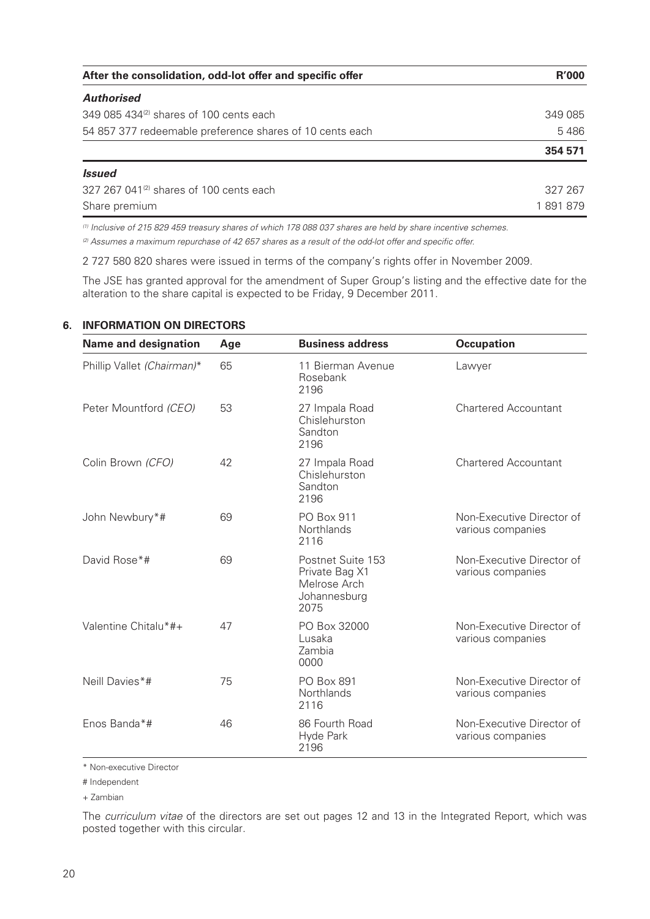| After the consolidation, odd-lot offer and specific offer | <b>R'000</b> |  |
|-----------------------------------------------------------|--------------|--|
| <b>Authorised</b>                                         |              |  |
| 349 085 434 <sup>(2)</sup> shares of 100 cents each       | 349 085      |  |
| 54 857 377 redeemable preference shares of 10 cents each  | 5486         |  |
|                                                           | 354 571      |  |
| <i><b>Issued</b></i>                                      |              |  |
| 327 267 041 <sup>(2)</sup> shares of 100 cents each       | 327 267      |  |
| Share premium                                             | 1891879      |  |

(1) Inclusive of 215 829 459 treasury shares of which 178 088 037 shares are held by share incentive schemes.

 $(2)$  Assumes a maximum repurchase of 42 657 shares as a result of the odd-lot offer and specific offer.

2 727 580 820 shares were issued in terms of the company's rights offer in November 2009.

The JSE has granted approval for the amendment of Super Group's listing and the effective date for the alteration to the share capital is expected to be Friday, 9 December 2011.

| <b>Name and designation</b> | Age | <b>Business address</b>                                                     | <b>Occupation</b>                              |
|-----------------------------|-----|-----------------------------------------------------------------------------|------------------------------------------------|
| Phillip Vallet (Chairman)*  | 65  | 11 Bierman Avenue<br>Rosebank<br>2196                                       | Lawyer                                         |
| Peter Mountford (CEO)       | 53  | 27 Impala Road<br>Chislehurston<br>Sandton<br>2196                          | <b>Chartered Accountant</b>                    |
| Colin Brown (CFO)           | 42  | 27 Impala Road<br>Chislehurston<br>Sandton<br>2196                          | <b>Chartered Accountant</b>                    |
| John Newbury*#              | 69  | <b>PO Box 911</b><br>Northlands<br>2116                                     | Non-Executive Director of<br>various companies |
| David Rose*#                | 69  | Postnet Suite 153<br>Private Bag X1<br>Melrose Arch<br>Johannesburg<br>2075 | Non-Executive Director of<br>various companies |
| Valentine Chitalu*#+        | 47  | PO Box 32000<br>Lusaka<br>Zambia<br>0000                                    | Non-Executive Director of<br>various companies |
| Neill Davies*#              | 75  | <b>PO Box 891</b><br>Northlands<br>2116                                     | Non-Executive Director of<br>various companies |
| Enos Banda*#                | 46  | 86 Fourth Road<br>Hyde Park<br>2196                                         | Non-Executive Director of<br>various companies |

#### **6. INFORMATION ON DIRECTORS**

\* Non-executive Director

# Independent

+ Zambian

The curriculum vitae of the directors are set out pages 12 and 13 in the Integrated Report, which was posted together with this circular.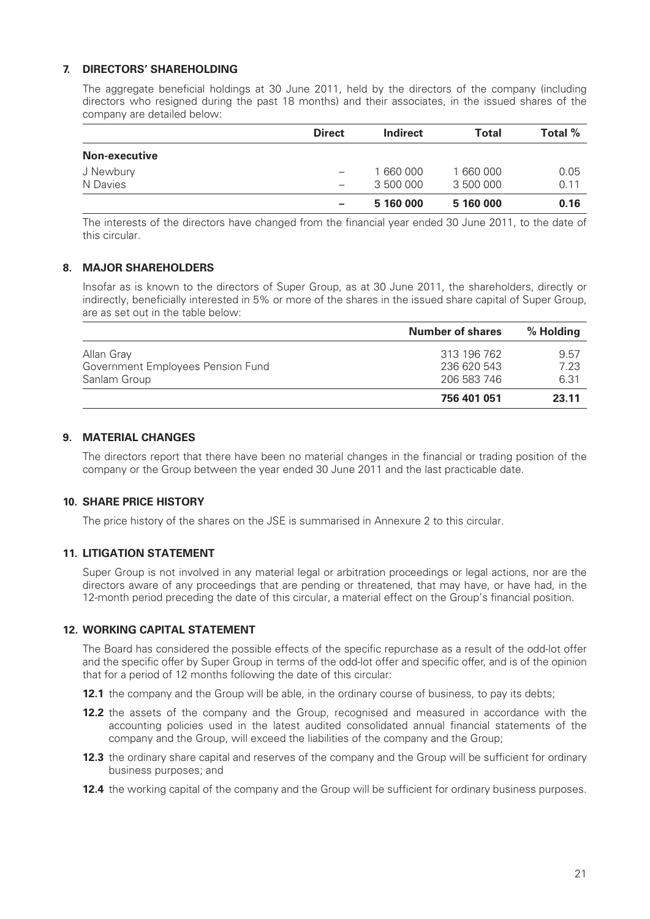### **7. DIRECTORS' SHAREHOLDING**

The aggregate beneficial holdings at 30 June 2011, held by the directors of the company (including directors who resigned during the past 18 months) and their associates, in the issued shares of the company are detailed below:

|                      | <b>Direct</b>            | <b>Indirect</b> | <b>Total</b> | Total % |
|----------------------|--------------------------|-----------------|--------------|---------|
| <b>Non-executive</b> |                          |                 |              |         |
| J Newbury            | $\overline{\phantom{m}}$ | 1 660 000       | 1 660 000    | 0.05    |
| N Davies             | $\overline{\phantom{m}}$ | 3 500 000       | 3 500 000    | 0.11    |
|                      | $\overline{\phantom{m}}$ | 5 160 000       | 5 160 000    | 0.16    |

The interests of the directors have changed from the financial year ended 30 June 2011, to the date of this circular.

### **8. MAJOR SHAREHOLDERS**

Insofar as is known to the directors of Super Group, as at 30 June 2011, the shareholders, directly or indirectly, beneficially interested in 5% or more of the shares in the issued share capital of Super Group, are as set out in the table below:

|                                   | <b>Number of shares</b> | % Holding |
|-----------------------------------|-------------------------|-----------|
| Allan Gray                        | 313 196 762             | 9.57      |
| Government Employees Pension Fund | 236 620 543             | 7.23      |
| Sanlam Group                      | 206 583 746             | 6.31      |
|                                   | 756 401 051             | 23.11     |

### **9. MATERIAL CHANGES**

The directors report that there have been no material changes in the financial or trading position of the company or the Group between the year ended 30 June 2011 and the last practicable date.

### **10. SHARE PRICE HISTORY**

The price history of the shares on the JSE is summarised in Annexure 2 to this circular.

### **11. LITIGATION STATEMENT**

Super Group is not involved in any material legal or arbitration proceedings or legal actions, nor are the directors aware of any proceedings that are pending or threatened, that may have, or have had, in the 12-month period preceding the date of this circular, a material effect on the Group's financial position.

### **12. WORKING CAPITAL STATEMENT**

The Board has considered the possible effects of the specific repurchase as a result of the odd-lot offer and the specific offer by Super Group in terms of the odd-lot offer and specific offer, and is of the opinion that for a period of 12 months following the date of this circular:

**12.1** the company and the Group will be able, in the ordinary course of business, to pay its debts;

- **12.2** the assets of the company and the Group, recognised and measured in accordance with the accounting policies used in the latest audited consolidated annual financial statements of the company and the Group, will exceed the liabilities of the company and the Group;
- **12.3** the ordinary share capital and reserves of the company and the Group will be sufficient for ordinary business purposes; and
- **12.4** the working capital of the company and the Group will be sufficient for ordinary business purposes.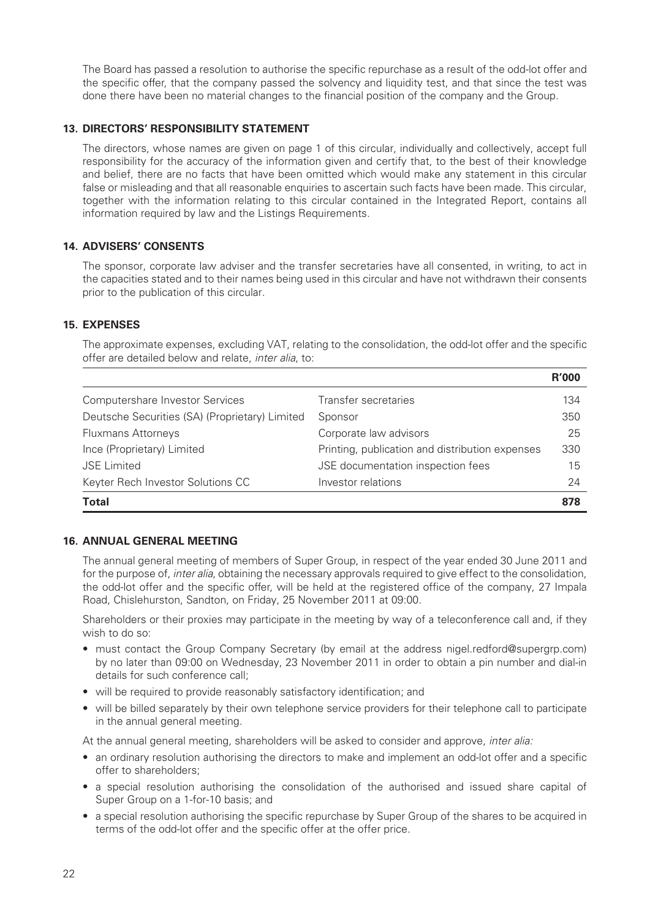The Board has passed a resolution to authorise the specific repurchase as a result of the odd-lot offer and the specific offer, that the company passed the solvency and liquidity test, and that since the test was done there have been no material changes to the financial position of the company and the Group.

### **13. DIRECTORS' RESPONSIBILITY STATEMENT**

The directors, whose names are given on page 1 of this circular, individually and collectively, accept full responsibility for the accuracy of the information given and certify that, to the best of their knowledge and belief, there are no facts that have been omitted which would make any statement in this circular false or misleading and that all reasonable enquiries to ascertain such facts have been made. This circular, together with the information relating to this circular contained in the Integrated Report, contains all information required by law and the Listings Requirements.

### **14. ADVISERS' CONSENTS**

The sponsor, corporate law adviser and the transfer secretaries have all consented, in writing, to act in the capacities stated and to their names being used in this circular and have not withdrawn their consents prior to the publication of this circular.

### **1 5. EXPENSES**

The approximate expenses, excluding VAT, relating to the consolidation, the odd-lot offer and the specific offer are detailed below and relate, inter alia, to:

|                                                |                                                 | <b>R'000</b> |
|------------------------------------------------|-------------------------------------------------|--------------|
| Computershare Investor Services                | Transfer secretaries                            | 134          |
| Deutsche Securities (SA) (Proprietary) Limited | Sponsor                                         | 350          |
| <b>Fluxmans Attorneys</b>                      | Corporate law advisors                          | 25           |
| Ince (Proprietary) Limited                     | Printing, publication and distribution expenses | 330          |
| <b>JSE Limited</b>                             | JSE documentation inspection fees               | 15           |
| Keyter Rech Investor Solutions CC              | Investor relations                              | 24           |
| <b>Total</b>                                   |                                                 | 878          |

### **16. ANNUAL GENERAL MEETING**

The annual general meeting of members of Super Group, in respect of the year ended 30 June 2011 and for the purpose of, *inter alia*, obtaining the necessary approvals required to give effect to the consolidation, the odd-lot offer and the specific offer, will be held at the registered office of the company, 27 Impala Road, Chislehurston, Sandton, on Friday, 25 November 2011 at 09:00.

Shareholders or their proxies may participate in the meeting by way of a teleconference call and, if they wish to do so:

- must contact the Group Company Secretary (by email at the address nigel.redford@supergrp.com) by no later than 09:00 on Wednesday, 23 November 2011 in order to obtain a pin number and dial-in details for such conference call;
- will be required to provide reasonably satisfactory identification; and
- will be billed separately by their own telephone service providers for their telephone call to participate in the annual general meeting.

At the annual general meeting, shareholders will be asked to consider and approve, inter alia:

- an ordinary resolution authorising the directors to make and implement an odd-lot offer and a specific offer to shareholders;
- a special resolution authorising the consolidation of the authorised and issued share capital of Super Group on a 1-for-10 basis; and
- a special resolution authorising the specific repurchase by Super Group of the shares to be acquired in terms of the odd-lot offer and the specific offer at the offer price.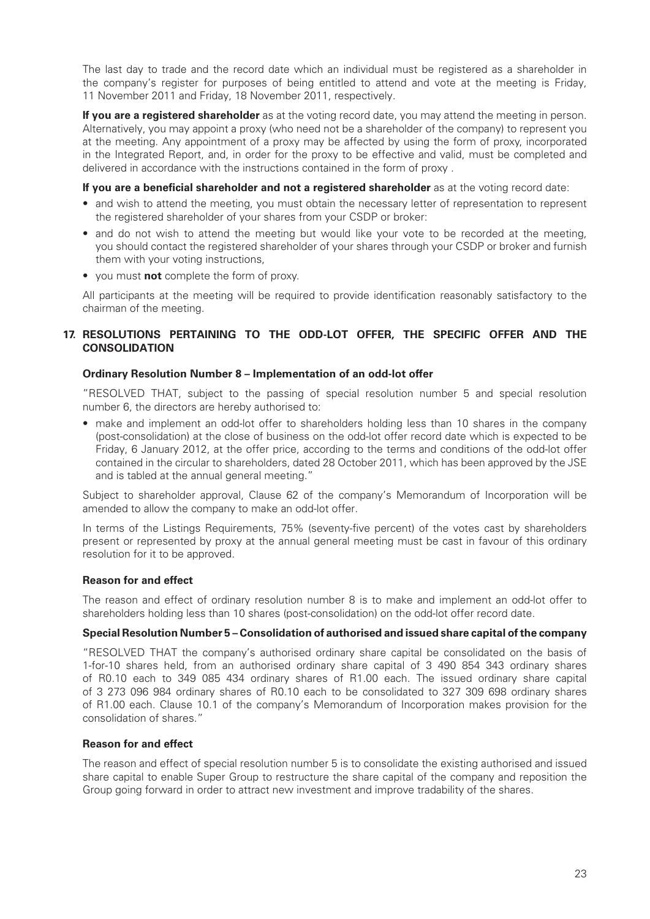The last day to trade and the record date which an individual must be registered as a shareholder in the company's register for purposes of being entitled to attend and vote at the meeting is Friday, 11 November 2011 and Friday, 18 November 2011, respectively.

**If you are a registered shareholder** as at the voting record date, you may attend the meeting in person. Alternatively, you may appoint a proxy (who need not be a shareholder of the company) to represent you at the meeting. Any appointment of a proxy may be affected by using the form of proxy , incorporated in the Integrated Report, and, in order for the proxy to be effective and valid, must be completed and delivered in accordance with the instructions contained in the form of proxy .

#### **If you are a beneficial shareholder and not a registered shareholder** as at the voting record date:

- and wish to attend the meeting, you must obtain the necessary letter of representation to represent the registered shareholder of your shares from your CSDP or broker:
- and do not wish to attend the meeting but would like your vote to be recorded at the meeting, you should contact the registered shareholder of your shares through your CSDP or broker and furnish them with your voting instructions,
- you must **not** complete the form of proxy .

All participants at the meeting will be required to provide identification reasonably satisfactory to the chairman of the meeting.

### 17. RESOLUTIONS PERTAINING TO THE ODD-LOT OFFER, THE SPECIFIC OFFER AND THE **CONSOLIDATION**

#### **Ordinary Resolution Number 8 – Implementation of an odd-lot offer**

"RESOLVED THAT, subject to the passing of special resolution number 5 and special resolution number 6, the directors are hereby authorised to:

• make and implement an odd-lot offer to shareholders holding less than 10 shares in the company (post-consolidation) at the close of business on the odd-lot offer record date which is expected to be Friday, 6 January 2012, at the offer price , according to the terms and conditions of the odd-lot offer contained in the circular to shareholders, dated 28 October 2011, which has been approved by the JSE and is tabled at the annual general meeting. "

Subject to shareholder approval, Clause 62 of the company's Memorandum of Incorporation will be amended to allow the company to make an odd-lot offer.

In terms of the Listings Requirements, 75% (seventy-five percent) of the votes cast by shareholders present or represented by proxy at the annual general meeting must be cast in favour of this ordinary resolution for it to be approved.

### **Reason for and effect**

The reason and effect of ordinary resolution number 8 is to make and implement an odd-lot offer to shareholders holding less than 10 shares (post-consolidation) on the odd-lot offer record date.

### **Special Resolution Number 5 – Consolidation of authorised and issued share capital of the company**

"RESOLVED THAT the company's authorised ordinary share capital be consolidated on the basis of 1-for-10 shares held, from an authorised ordinary share capital of 3 490 854 343 ordinary shares of R0.10 each to 349 085 434 ordinary shares of R1.00 each. The issued ordinary share capital of 3 273 096 984 ordinary shares of R0.10 each to be consolidated to 327 309 698 ordinary shares of R1.00 each. Clause 10.1 of the company's Memorandum of Incorporation makes provision for the consolidation of shares."

### **Reason for and effect**

The reason and effect of special resolution number 5 is to consolidate the existing authorised and issued share capital to enable Super Group to restructure the share capital of the company and reposition the Group going forward in order to attract new investment and improve tradability of the shares.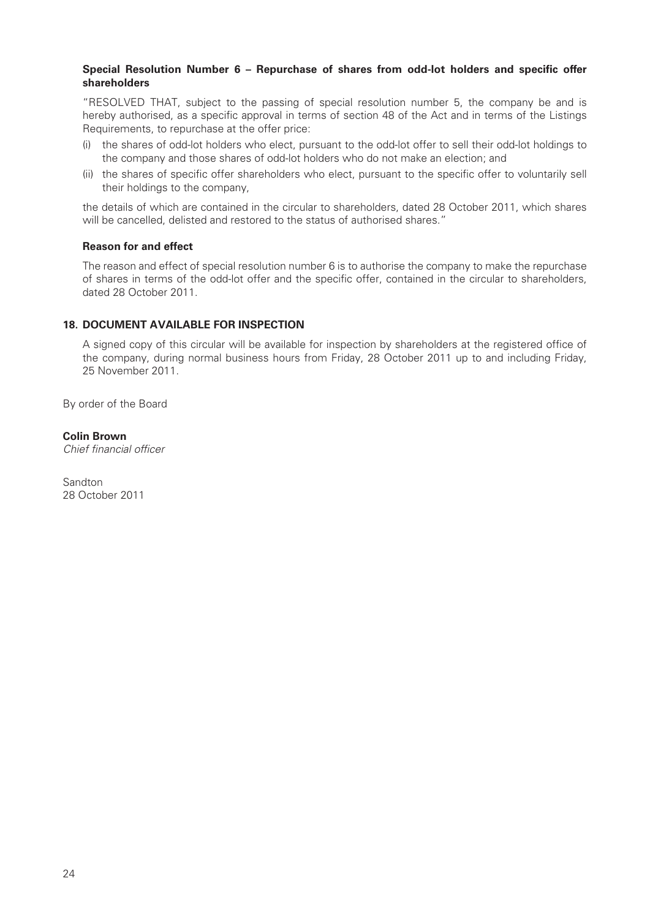### Special Resolution Number 6 - Repurchase of shares from odd-lot holders and specific offer **shareholders**

"RESOLVED THAT, subject to the passing of special resolution number 5, the company be and is hereby authorised, as a specific approval in terms of section 48 of the Act and in terms of the Listings Requirements, to repurchase at the offer price :

- (i) the shares of odd-lot holders who elect, pursuant to the odd-lot offer to sell their odd-lot holdings to the company and those shares of odd-lot holders who donot make an election; and
- (ii) the shares of specific offer shareholders who elect, pursuant to the specific offer to voluntarily sell their holdings to the company,

the details of which are contained in the circular to shareholders, dated 28 October 2011, which shares will be cancelled, delisted and restored to the status of authorised shares."

#### **Reason for and effect**

The reason and effect of special resolution number 6 is to authorise the company to make the repurchase of shares in terms of the odd-lot offer and the specific offer, contained in the circular to shareholders, dated 28 October 2011.

### **18. DOCUMENT AVAILABLE FOR INSPECTION**

A signed copy of this circular will be available for inspection by shareholders at the registered office of the company, during normal business hours from Friday, 28 October 2011 up to and including Friday, 25 November 2011 .

By order of the Board

#### **Colin Brown**

Chief financial officer

Sandton 28 October 2011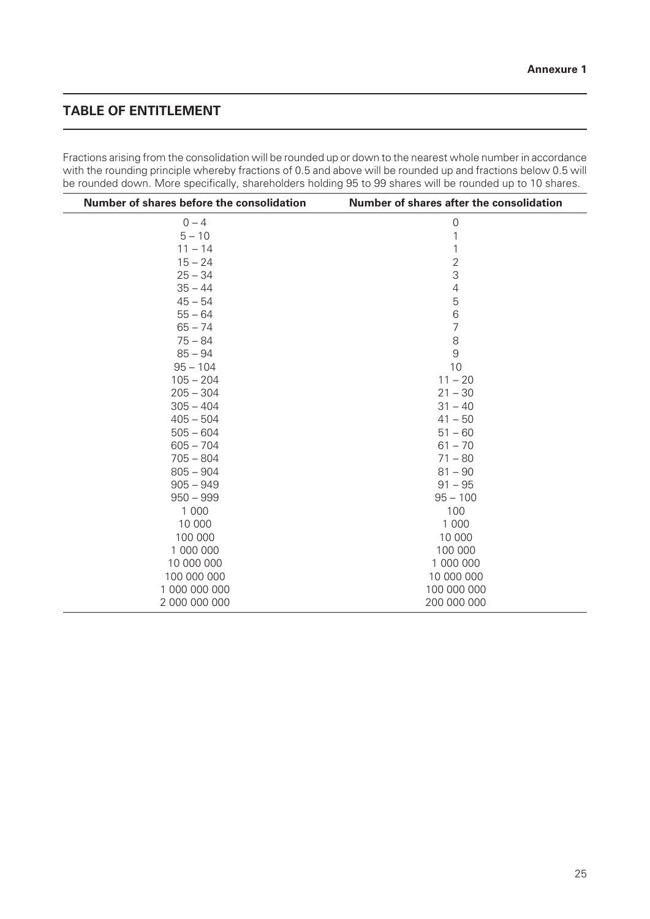## **TABLE OF ENTITLEMENT**

Fractions arising from the consolidation will be rounded up or down to the nearest whole number in accordance with the rounding principle whereby fractions of 0.5 and above will be rounded up and fractions below 0.5 will be rounded down. More specifically, shareholders holding 95 to 99 shares will be rounded up to 10 shares.

| Number of shares before the consolidation | Number of shares after the consolidation |
|-------------------------------------------|------------------------------------------|
| $0 - 4$                                   | $\mathbf 0$                              |
| $5 - 10$                                  |                                          |
| $11 - 14$                                 |                                          |
| $15 - 24$                                 | $\overline{2}$                           |
| $25 - 34$                                 | 3                                        |
| $35 - 44$                                 | 4                                        |
| $45 - 54$                                 | 5                                        |
| $55 - 64$                                 | 6                                        |
| $65 - 74$                                 | $\overline{7}$                           |
| $75 - 84$                                 | 8                                        |
| $85 - 94$                                 | 9                                        |
| $95 - 104$                                | 10                                       |
| $105 - 204$                               | $11 - 20$                                |
| $205 - 304$                               | $21 - 30$                                |
| $305 - 404$                               | $31 - 40$                                |
| $405 - 504$                               | $41 - 50$                                |
| $505 - 604$                               | $51 - 60$                                |
| $605 - 704$                               | $61 - 70$                                |
| $705 - 804$                               | $71 - 80$                                |
| $805 - 904$                               | $81 - 90$                                |
| $905 - 949$                               | $91 - 95$                                |
| $950 - 999$                               | $95 - 100$                               |
| 1 0 0 0                                   | 100                                      |
| 10 000                                    | 1 0 0 0                                  |
| 100 000                                   | 10 000                                   |
| 1 000 000                                 | 100 000                                  |
| 10 000 000                                | 1 000 000                                |
| 100 000 000                               | 10 000 000                               |
| 1 000 000 000                             | 100 000 000                              |
| 2 000 000 000                             | 200 000 000                              |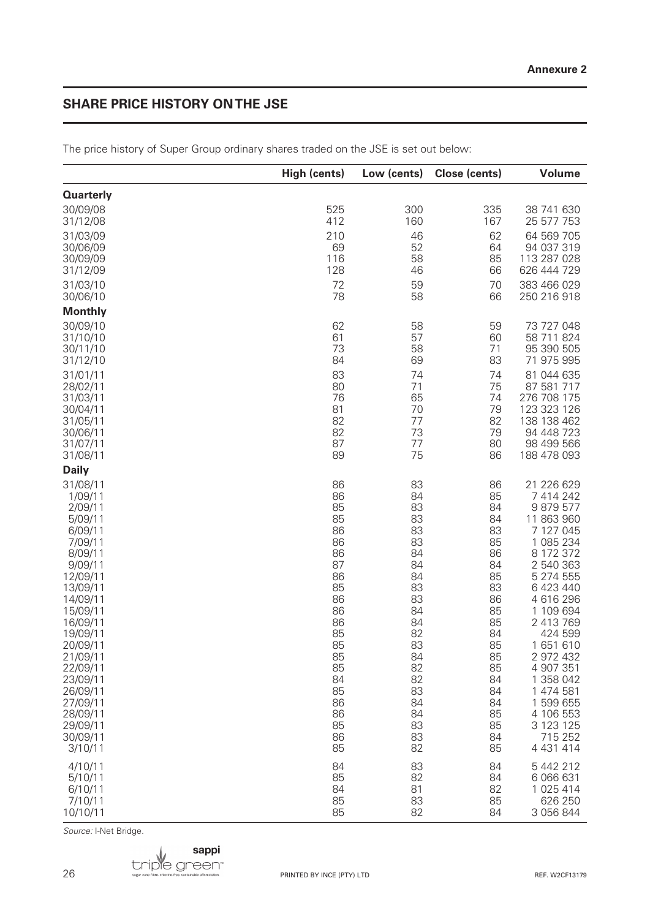## **SHARE PRICE HISTORY ON THE JSE**

|                  | High (cents) | Low (cents) | Close (cents) | <b>Volume</b> |
|------------------|--------------|-------------|---------------|---------------|
| <b>Quarterly</b> |              |             |               |               |
| 30/09/08         | 525          | 300         | 335           | 38 741 630    |
| 31/12/08         | 412          | 160         | 167           | 25 577 753    |
| 31/03/09         | 210          | 46          | 62            | 64 569 705    |
| 30/06/09         | 69           | 52          | 64            | 94 037 319    |
| 30/09/09         | 116          | 58          | 85            | 113 287 028   |
| 31/12/09         | 128          | 46          | 66            | 626 444 729   |
| 31/03/10         | 72           | 59          | 70            | 383 466 029   |
| 30/06/10         | 78           | 58          | 66            | 250 216 918   |
| <b>Monthly</b>   |              |             |               |               |
| 30/09/10         | 62           | 58          | 59            | 73 727 048    |
| 31/10/10         | 61           | 57          | 60            | 58 711 824    |
| 30/11/10         | 73           | 58          | 71            | 95 390 505    |
| 31/12/10         | 84           | 69          | 83            | 71 975 995    |
| 31/01/11         | 83           | 74          | 74            | 81 044 635    |
| 28/02/11         | 80           | 71          | 75            | 87 581 717    |
| 31/03/11         | 76           | 65          | 74            | 276 708 175   |
| 30/04/11         | 81           | 70          | 79            | 123 323 126   |
| 31/05/11         | 82           | 77          | 82            | 138 138 462   |
| 30/06/11         | 82           | 73          | 79            | 94 448 723    |
| 31/07/11         | 87           | 77          | 80            | 98 499 566    |
| 31/08/11         | 89           | 75          | 86            | 188 478 093   |
| <b>Daily</b>     |              |             |               |               |
| 31/08/11         | 86           | 83          | 86            | 21 226 629    |
| 1/09/11          | 86           | 84          | 85            | 7 414 242     |
| 2/09/11          | 85           | 83          | 84            | 9879577       |
| 5/09/11          | 85           | 83          | 84            | 11 863 960    |
| 6/09/11          | 86           | 83          | 83            | 7 127 045     |
| 7/09/11          | 86           | 83          | 85            | 1 085 234     |
| 8/09/11          | 86           | 84          | 86            | 8 172 372     |
| 9/09/11          | 87           | 84          | 84            | 2 540 363     |
| 12/09/11         | 86           | 84          | 85            | 5 274 555     |
| 13/09/11         | 85           | 83          | 83            | 6 423 440     |
| 14/09/11         | 86           | 83          | 86            | 4 616 296     |
| 15/09/11         | 86           | 84          | 85            | 1 109 694     |
| 16/09/11         | 86           | 84          | 85            | 2 413 769     |
| 19/09/11         | 85           | 82          | 84            | 424 599       |
| 20/09/11         | 85           | 83          | 85            | 1651610       |
| 21/09/11         | 85           | 84          | 85            | 2 972 432     |
| 22/09/11         | 85           | 82          | 85            | 4 907 351     |
| 23/09/11         | 84           | 82          | 84            | 1 358 042     |
| 26/09/11         | 85           | 83          | 84            | 1 474 581     |
| 27/09/11         | 86           | 84          | 84            | 1 599 655     |
| 28/09/11         | 86           | 84          | 85            | 4 106 553     |
| 29/09/11         | 85           | 83          | 85            | 3 123 125     |
| 30/09/11         | 86           | 83          | 84            | 715 252       |
| 3/10/11          | 85           | 82          | 85            | 4 4 3 1 4 1 4 |
| 4/10/11          | 84           | 83          | 84            | 5 442 212     |
| 5/10/11          | 85           | 82          | 84            | 6 066 631     |
| 6/10/11          | 84           | 81          | 82            | 1 025 414     |
| 7/10/11          | 85           | 83          | 85            | 626 250       |
| 10/10/11         | 85           | 82          | 84            | 3 056 844     |

The price history of Super Group ordinary shares traded on the JSE is set out below:

Source: I-Net Bridge.

26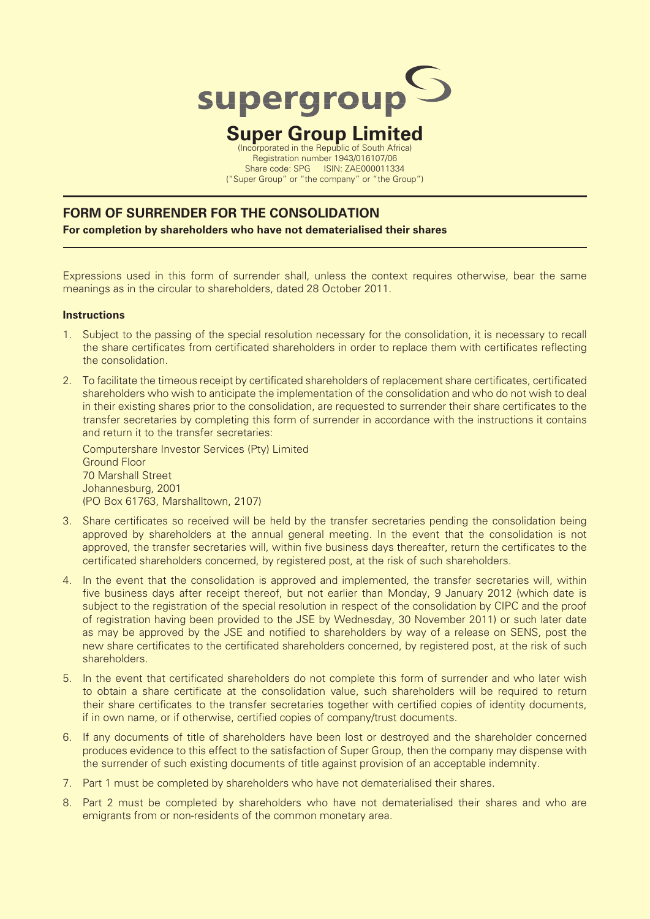

## **Super Group Limited** (Incorporated in the Republic of South Africa)

Registration number 1943/016107/06 Share code: SPG ISIN: ZAE000011334 ("Super Group" or "the company" or "the Group")

## **FORM OF SURRENDER FOR THE CONSOLIDATION**

**For completion by shareholders who have not dematerialised their shares**

Expressions used in this form of surrender shall, unless the context requires otherwise, bear the same meanings as in the circular to shareholders, dated 28 October 2011.

### **Instructions**

- 1. Subject to the passing of the special resolution necessary for the consolidation, it is necessary to recall the share certificates from certificated shareholders in order to replace them with certificates reflecting the consolidation.
- 2. To facilitate the timeous receipt by certificated shareholders of replacement share certificates, certificated shareholders who wish to anticipate the implementation of the consolidation and who do not wish to deal in their existing shares prior to the consolidation, are requested to surrender their share certificates to the transfer secretaries by completing this form of surrender in accordance with the instructions it contains and return it to the transfer secretaries:

Computershare Investor Services (Pty) Limited Ground Floor 70 Marshall Street Johannesburg, 2001 (PO Box 61763, Marshalltown, 2107)

- 3. Share certificates so received will be held by the transfer secretaries pending the consolidation being approved by shareholders at the annual general meeting. In the event that the consolidation is not approved, the transfer secretaries will, within five business days thereafter, return the certificates to the certificated shareholders concerned, by registered post, at the risk of such shareholders.
- 4. In the event that the consolidation is approved and implemented, the transfer secretaries will, within five business days after receipt thereof, but not earlier than Monday, 9 January 2012 (which date is subject to the registration of the special resolution in respect of the consolidation by CIPC and the proof of registration having been provided to the JSE by Wednesday, 30 November 2011) or such later date as may be approved by the JSE and notified to shareholders by way of a release on SENS, post the new share certificates to the certificated shareholders concerned, by registered post, at the risk of such shareholders.
- 5. In the event that certificated shareholders do not complete this form of surrender and who later wish to obtain a share certificate at the consolidation value, such shareholders will be required to return their share certificates to the transfer secretaries together with certified copies of identity documents, if in own name, or if otherwise, certified copies of company/trust documents.
- 6. If any documents of title of shareholders have been lost or destroyed and the shareholder concerned produces evidence to this effect to the satisfaction of Super Group, then the company may dispense with the surrender of such existing documents of title against provision of an acceptable indemnity.
- 7. Part 1 must be completed by shareholders who have not dematerialised their shares.
- 8. Part 2 must be completed by shareholders who have not dematerialised their shares and who are emigrants from or non-residents of the common monetary area.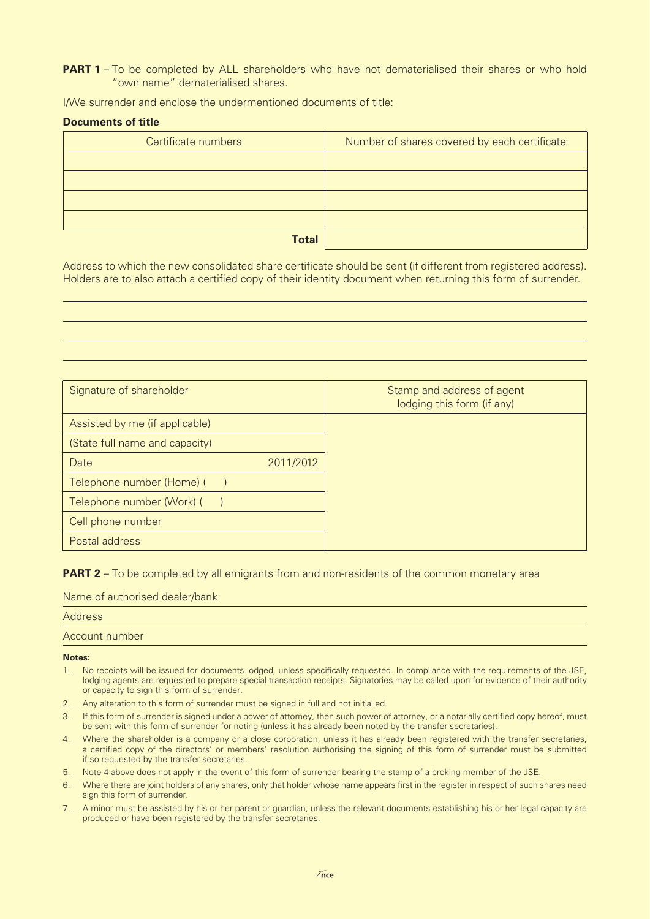**PART 1** – To be completed by ALL shareholders who have not dematerialised their shares or who hold "own name" dematerialised shares.

I/We surrender and enclose the undermentioned documents of title:

#### **Documents of title**

| Certificate numbers | Number of shares covered by each certificate |
|---------------------|----------------------------------------------|
|                     |                                              |
|                     |                                              |
|                     |                                              |
|                     |                                              |
| <b>Total</b>        |                                              |

Address to which the new consolidated share certificate should be sent (if different from registered address). Holders are to also attach a certified copy of their identity document when returning this form of surrender.

| Signature of shareholder       | Stamp and address of agent<br>lodging this form (if any) |
|--------------------------------|----------------------------------------------------------|
| Assisted by me (if applicable) |                                                          |
| (State full name and capacity) |                                                          |
| Date<br>2011/2012              |                                                          |
| Telephone number (Home) (      |                                                          |
| Telephone number (Work) (      |                                                          |
| Cell phone number              |                                                          |
| Postal address                 |                                                          |

**PART 2** – To be completed by all emigrants from and non-residents of the common monetary area

Name of authorised dealer/bank

| <b>Address</b> |  |
|----------------|--|
| Account number |  |

**Notes:**

- 1. No receipts will be issued for documents lodged, unless specifically requested. In compliance with the requirements of the JSE, lodging agents are requested to prepare special transaction receipts. Signatories may be called upon for evidence of their authority or capacity to sign this form of surrender.
- 2. Any alteration to this form of surrender must be signed in full and not initialled.
- 3. If this form of surrender is signed under a power of attorney, then such power of attorney, or a notarially certified copy hereof, must be sent with this form of surrender for noting (unless it has already been noted by the transfer secretaries).
- 4. Where the shareholder is a company or a close corporation, unless it has already been registered with the transfer secretaries, a certified copy of the directors' or members' resolution authorising the signing of this form of surrender must be submitted if so requested by the transfer secretaries.
- 5. Note 4 above does not apply in the event of this form of surrender bearing the stamp of a broking member of the JSE.
- 6. Where there are joint holders of any shares, only that holder whose name appears first in the register in respect of such shares need sign this form of surrender.
- 7. A minor must be assisted by his or her parent or guardian, unless the relevant documents establishing his or her legal capacity are produced or have been registered by the transfer secretaries.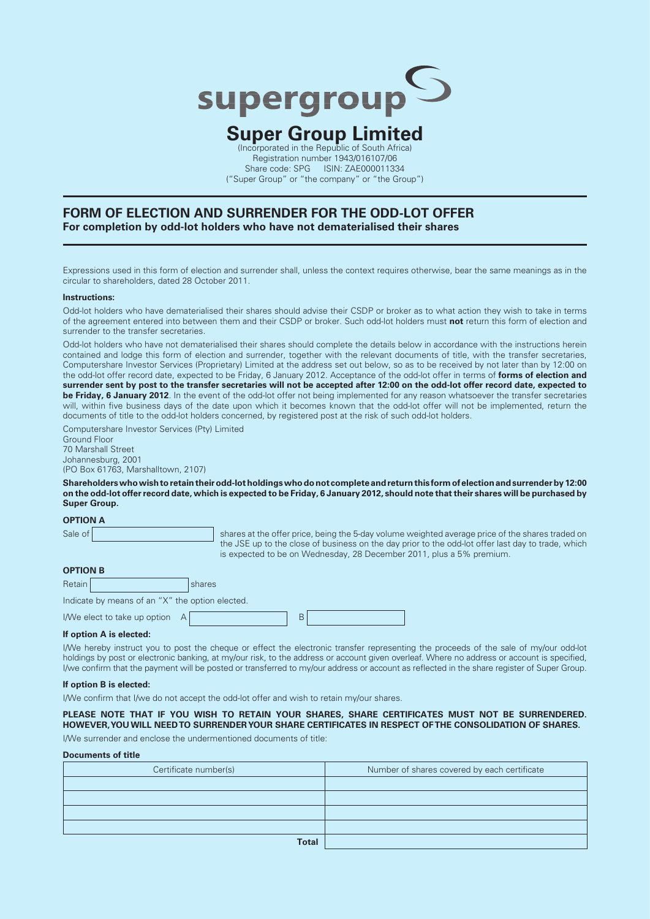

### **Super Group Limited** (Incorporated in the Republic of South Africa)

Registration number 1943/016107/06 Share code: SPG ISIN: ZAE000011334 ("Super Group" or "the company" or "the Group")

#### **FORM OF ELECTION AND SURRENDER FOR THE ODD-LOT OFFER For completion by odd-lot holders who have not dematerialised their shares**

Expressions used in this form of election and surrender shall, unless the context requires otherwise, bear the same meanings as in the circular to shareholders, dated 28 October 2011.

#### **Instructions:**

Odd-lot holders who have dematerialised their shares should advise their CSDP or broker as to what action they wish to take in terms of the agreement entered into between them and their CSDP or broker. Such odd-lot holders must **not** return this form of election and surrender to the transfer secretaries.

Odd-lot holders who have not dematerialised their shares should complete the details below in accordance with the instructions herein contained and lodge this form of election and surrender, together with the relevant documents of title, with the transfer secretaries, Computershare Investor Services (Proprietary) Limited at the address set out below, so as to be received by not later than by 12:00 on the odd-lot offer record date, expected to be Friday, 6 January 2012. Acceptance of the odd-lot offer in terms of **forms of election and surrender sent by post to the transfer secretaries will not be accepted after 12:00 on the odd-lot offer record date, expected to**  be Friday, 6 January 2012. In the event of the odd-lot offer not being implemented for any reason whatsoever the transfer secretaries will, within five business days of the date upon which it becomes known that the odd-lot offer will not be implemented, return the documents of title to the odd-lot holders concerned, by registered post at the risk of such odd-lot holders.

Computershare Investor Services (Pty) Limited

Ground Floor 70 Marshall Street Johannesburg, 2001 (PO Box 61763, Marshalltown, 2107)

**Shareholders who wish to retain their odd-lot holdings who do not complete and return this form of election and surrender by 12:00 on the odd-lot offer record date, which is expected to be Friday, 6 January 2012, should note that their shares will be purchased by Super Group.**

**OPTION A**

Sale of shares at the offer price, being the 5-day volume weighted average price of the shares traded on the JSE up to the close of business on the day prior to the odd-lot offer last day to trade, which is expected to be on Wednesday, 28 December 2011, plus a 5% premium .

|  |  | <b>OPTION B</b> |  |
|--|--|-----------------|--|
|  |  |                 |  |

Retain shares and shares are shared by the shares Indicate by means of an "X" the option elected. I/We elect to take up option A

#### **If option A is elected:**

I/We hereby instruct you to post the cheque or effect the electronic transfer representing the proceeds of the sale of my/our odd-lot holdings by post or electronic banking, at my/our risk, to the address or account given overleaf. Where no address or account is specified, I/we confirm that the payment will be posted or transferred to my/our address or account as reflected in the share register of Super Group.

#### **If option B is elected:**

I/We confirm that I/we do not accept the odd-lot offer and wish to retain my/our shares.

**PLEASE NOTE THAT IF YOU WISH TO RETAIN YOUR SHARES, SHARE CERTIFICATES MUST NOT BE SURRENDERED. HOWEVER, YOU WILL NEED TO SURRENDER YOUR SHARE CERTIFICATES IN RESPECT OF THE CONSOLIDATION OF SHARES.**

I/We surrender and enclose the undermentioned documents of title:

#### **Documents of title**

| Certificate number(s) | Number of shares covered by each certificate |
|-----------------------|----------------------------------------------|
|                       |                                              |
|                       |                                              |
|                       |                                              |
|                       |                                              |
| <b>Total</b>          |                                              |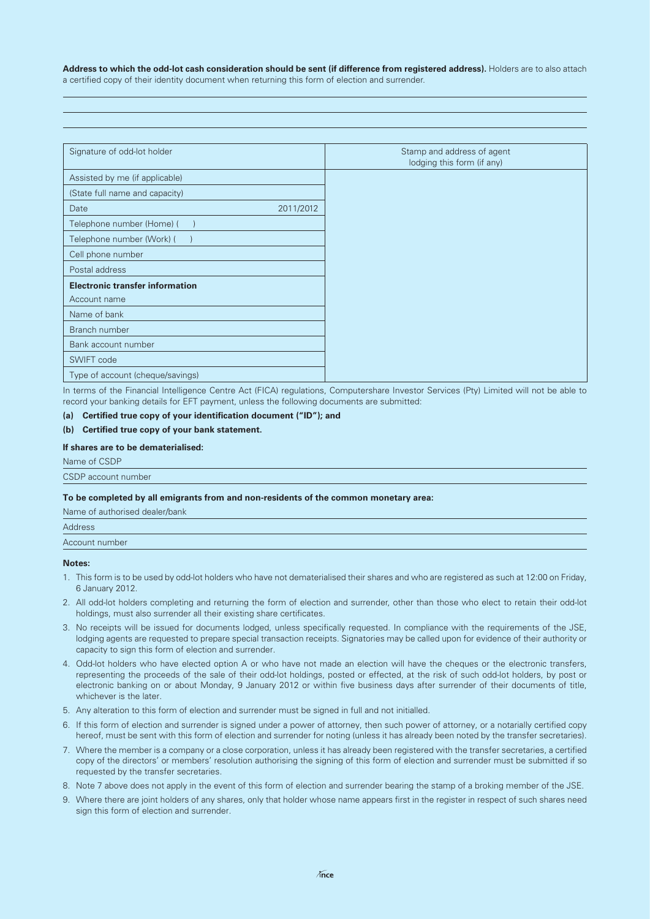Address to which the odd-lot cash consideration should be sent (if difference from registered address). Holders are to also attach a certified copy of their identity document when returning this form of election and surrender.

| Signature of odd-lot holder            |           |
|----------------------------------------|-----------|
| Assisted by me (if applicable)         |           |
| (State full name and capacity)         |           |
| Date                                   | 2011/2012 |
| Telephone number (Home) (              |           |
| Telephone number (Work) (              |           |
| Cell phone number                      |           |
| Postal address                         |           |
| <b>Electronic transfer information</b> |           |
| Account name                           |           |
| Name of bank                           |           |
| Branch number                          |           |
| Bank account number                    |           |
| SWIFT code                             |           |
| Type of account (cheque/savings)       |           |

In terms of the Financial Intelligence Centre Act (FICA) regulations, Computershare Investor Services (Pty) Limited will not be able to record your banking details for EFT payment, unless the following documents are submitted:

#### (a) Certified true copy of your identification document ("ID"); and

#### (b) Certified true copy of your bank statement.

#### **If shares are to be dematerialised:**

Name of CSDP

CSDP account number

#### **To be completed by all emigrants from and non-residents of the common monetary area:**

| Name of authorised dealer/bank |
|--------------------------------|
| <b>Address</b>                 |
| Account number                 |
|                                |

#### **Notes:**

- 1. This form is to be used by odd-lot holders who have not dematerialised their shares and who are registered as such at 12:00 on Friday, 6 January 2012.
- 2. All odd-lot holders completing and returning the form of election and surrender, other than those who elect to retain their odd-lot holdings, must also surrender all their existing share certificates.
- 3. No receipts will be issued for documents lodged, unless specifically requested. In compliance with the requirements of the JSE, lodging agents are requested to prepare special transaction receipts. Signatories may be called upon for evidence of their authority or capacity to sign this form of election and surrender.
- 4. Odd-lot holders who have elected option A or who have not made an election will have the cheques or the electronic transfers, representing the proceeds of the sale of their odd-lot holdings, posted or effected, at the risk of such odd-lot holders, by post or electronic banking on or about Monday, 9 January 2012 or within five business days after surrender of their documents of title, whichever is the later.
- 5. Any alteration to this form of election and surrender must be signed in full and not initialled.
- 6. If this form of election and surrender is signed under a power of attorney, then such power of attorney, or a notarially certified copy hereof, must be sent with this form of election and surrender for noting (unless it has already been noted by the transfer secretaries).
- 7. Where the member is a company or a close corporation, unless it has already been registered with the transfer secretaries, a certified copy of the directors' or members' resolution authorising the signing of this form of election and surrender must be submitted if so requested by the transfer secretaries.
- 8. Note 7 above does not apply in the event of this form of election and surrender bearing the stamp of a broking member of the JSE.
- 9. Where there are joint holders of any shares, only that holder whose name appears first in the register in respect of such shares need sign this form of election and surrender.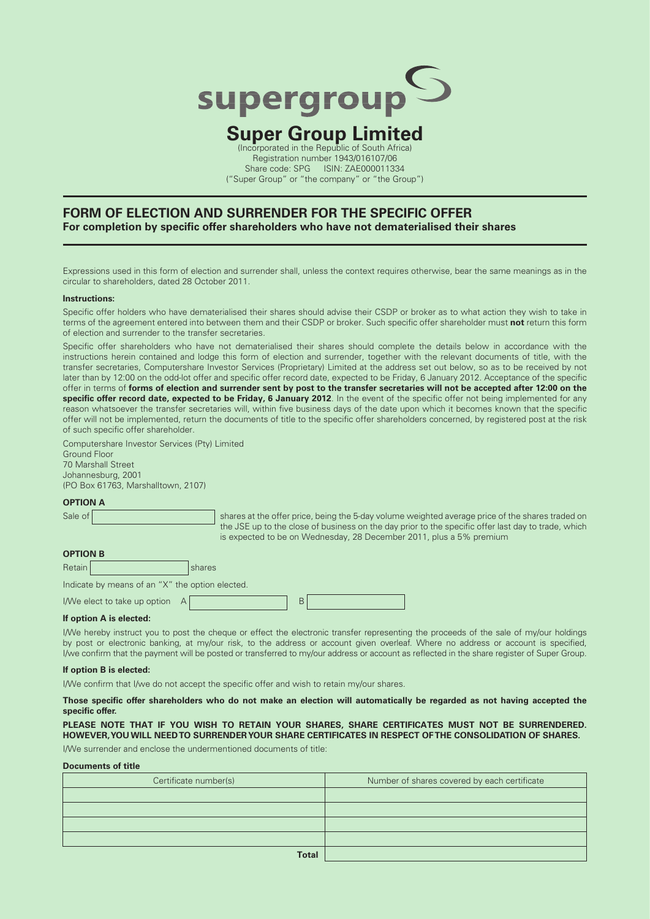

### **Super Group Limited** (Incorporated in the Republic of South Africa)

Registration number 1943/016107/06 Share code: SPG ISIN: ZAE000011334 ("Super Group" or "the company" or "the Group")

#### **FORM OF ELECTION AND SURRENDER FOR THE SPECIFIC OFFER** For completion by specific offer shareholders who have not dematerialised their shares

Expressions used in this form of election and surrender shall, unless the context requires otherwise, bear the same meanings as in the circular to shareholders, dated 28 October 2011.

#### **Instructions:**

Specific offer holders who have dematerialised their shares should advise their CSDP or broker as to what action they wish to take in terms of the agreement entered into between them and their CSDP or broker. Such specific offer shareholder must not return this form of election and surrender to the transfer secretaries.

Specific offer shareholders who have not dematerialised their shares should complete the details below in accordance with the instructions herein contained and lodge this form of election and surrender, together with the relevant documents of title, with the transfer secretaries, Computershare Investor Services (Proprietary) Limited at the address set out below, so as to be received by not later than by 12:00 on the odd-lot offer and specific offer record date, expected to be Friday, 6 January 2012. Acceptance of the specific offer in terms of **forms of election and surrender sent by post to the transfer secretaries will not be accepted after 12:00 on the**  specific offer record date, expected to be Friday, 6 January 2012. In the event of the specific offer not being implemented for any reason whatsoever the transfer secretaries will, within five business days of the date upon which it becomes known that the specific offer will not be implemented, return the documents of title to the specific offer shareholders concerned, by registered post at the risk of such specific offer shareholder.

Computershare Investor Services (Pty) Limited Ground Floor 70 Marshall Street Johannesburg, 2001 (PO Box 61763, Marshalltown, 2107)

#### **OPTION A**

Sale of shares at the offer price, being the 5-day volume weighted average price of the shares traded on the JSE up to the close of business on the day prior to the specific offer last day to trade, which is expected to be on Wednesday, 28 December 2011, plus a 5% premium

#### **OPTION B**

| D<br>Retain | .<br>naros |
|-------------|------------|
|             |            |

Indicate by means of an "X" the option elected.

I/We elect to take up option A

|--|

#### **If option A is elected:**

I/We hereby instruct you to post the cheque or effect the electronic transfer representing the proceeds of the sale of my/our holdings by post or electronic banking, at my/our risk, to the address or account given overleaf. Where no address or account is specified, I/we confirm that the payment will be posted or transferred to my/our address or account as reflected in the share register of Super Group.

#### **If option B is elected:**

I/We confirm that I/we do not accept the specific offer and wish to retain my/our shares.

#### Those specific offer shareholders who do not make an election will automatically be regarded as not having accepted the specific offer.

**PLEASE NOTE THAT IF YOU WISH TO RETAIN YOUR SHARES, SHARE CERTIFICATES MUST NOT BE SURRENDERED. HOWEVER, YOU WILL NEED TO SURRENDER YOUR SHARE CERTIFICATES IN RESPECT OF THE CONSOLIDATION OF SHARES.**

I/We surrender and enclose the undermentioned documents of title:

#### **Documents of title**

| Certificate number(s)    | Number of shares covered by each certificate |
|--------------------------|----------------------------------------------|
|                          |                                              |
|                          |                                              |
|                          |                                              |
|                          |                                              |
| <b>The Second Street</b> |                                              |